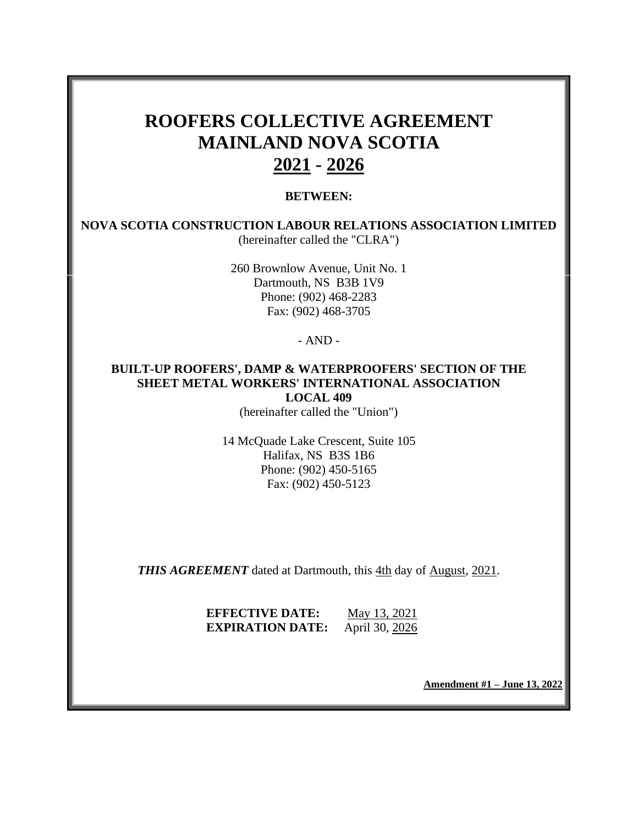# **ROOFERS COLLECTIVE AGREEMENT MAINLAND NOVA SCOTIA 2021 - 2026**

#### **BETWEEN:**

**NOVA SCOTIA CONSTRUCTION LABOUR RELATIONS ASSOCIATION LIMITED** (hereinafter called the "CLRA")

> 260 Brownlow Avenue, Unit No. 1 Dartmouth, NS B3B 1V9 Phone: (902) 468-2283 Fax: (902) 468-3705

> > - AND -

## **BUILT-UP ROOFERS', DAMP & WATERPROOFERS' SECTION OF THE SHEET METAL WORKERS' INTERNATIONAL ASSOCIATION LOCAL 409**

(hereinafter called the "Union")

14 McQuade Lake Crescent, Suite 105 Halifax, NS B3S 1B6 Phone: (902) 450-5165 Fax: (902) 450-5123

*THIS AGREEMENT* dated at Dartmouth, this 4th day of August, 2021.

**EFFECTIVE DATE:** May 13, 2021 **EXPIRATION DATE:** April 30, 2026

**Amendment #1 – June 13, 2022**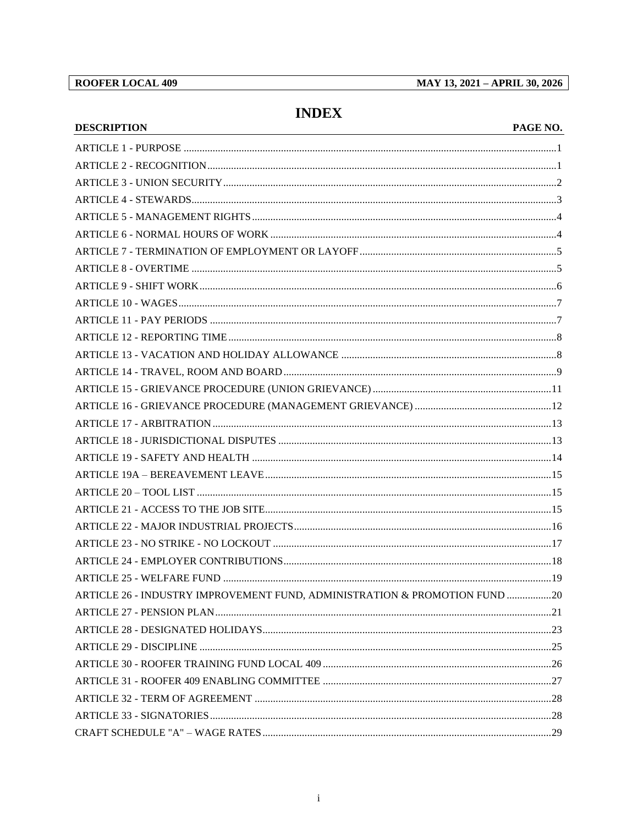# **INDEX**

### PAGE NO.

| <b>DESCRIPTION</b>                                                         | PAGE NO. |
|----------------------------------------------------------------------------|----------|
|                                                                            |          |
|                                                                            |          |
|                                                                            |          |
|                                                                            |          |
|                                                                            |          |
|                                                                            |          |
|                                                                            |          |
|                                                                            |          |
|                                                                            |          |
|                                                                            |          |
|                                                                            |          |
|                                                                            |          |
|                                                                            |          |
|                                                                            |          |
|                                                                            |          |
|                                                                            |          |
|                                                                            |          |
|                                                                            |          |
|                                                                            |          |
|                                                                            |          |
|                                                                            |          |
|                                                                            |          |
|                                                                            |          |
|                                                                            |          |
|                                                                            |          |
|                                                                            |          |
| ARTICLE 26 - INDUSTRY IMPROVEMENT FUND, ADMINISTRATION & PROMOTION FUND 20 |          |
|                                                                            |          |
|                                                                            |          |
|                                                                            |          |
|                                                                            |          |
|                                                                            |          |
|                                                                            |          |
|                                                                            |          |
|                                                                            |          |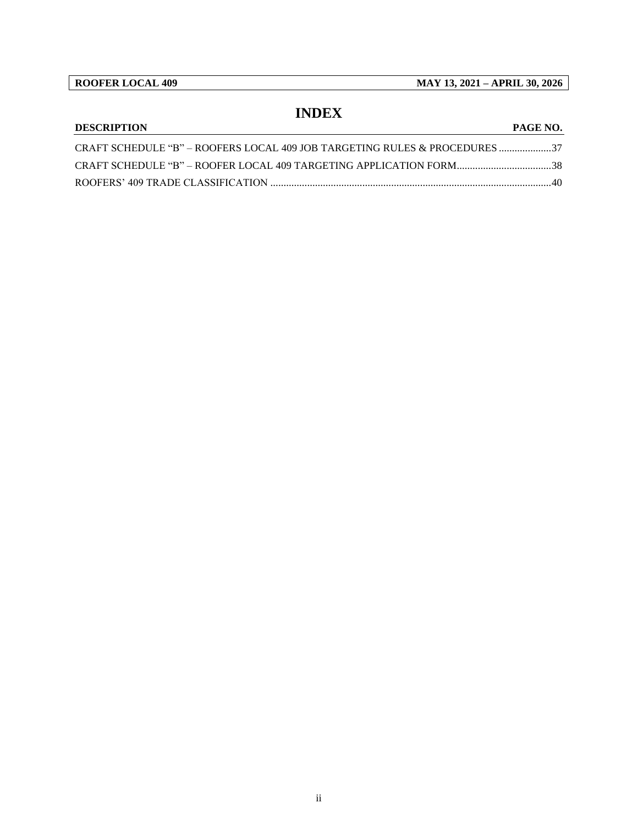**ROOFER LOCAL 409 MAY 13, 2021 – APRIL 30, 2026**

## **INDEX DESCRIPTION PAGE NO.**

# CRAFT SCHEDULE "B" – [ROOFERS LOCAL 409 JOB](#page-39-0) TARGETING RULES & PROCEDURES ....................37 CRAFT SCHEDULE "B" – ROOFER LOCAL 409 TARGETING APPLICATION [FORM....................................38](#page-40-0) ROOFERS' 409 TRADE CLASSIFICATION [...........................................................................................................40](#page-42-0)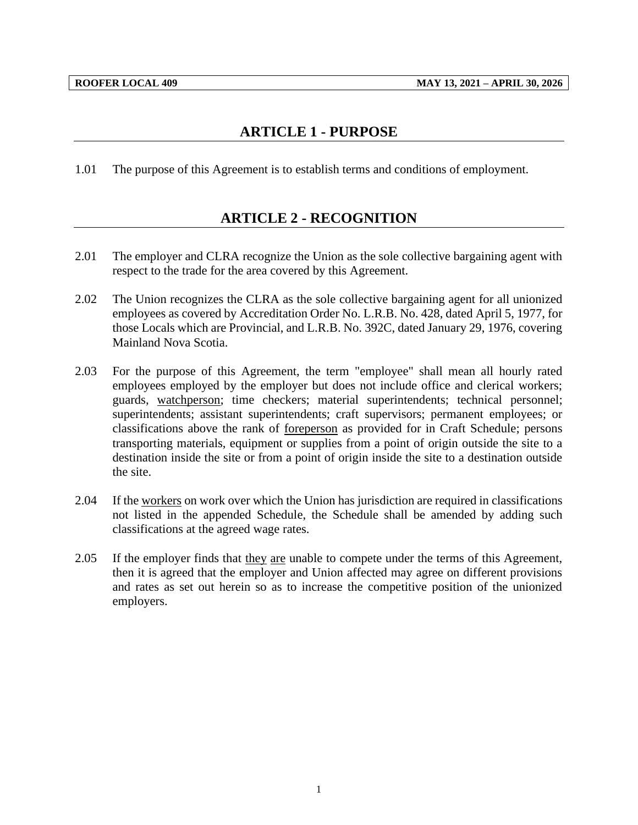# **ARTICLE 1 - PURPOSE**

<span id="page-3-1"></span><span id="page-3-0"></span>1.01 The purpose of this Agreement is to establish terms and conditions of employment.

# **ARTICLE 2 - RECOGNITION**

- 2.01 The employer and CLRA recognize the Union as the sole collective bargaining agent with respect to the trade for the area covered by this Agreement.
- 2.02 The Union recognizes the CLRA as the sole collective bargaining agent for all unionized employees as covered by Accreditation Order No. L.R.B. No. 428, dated April 5, 1977, for those Locals which are Provincial, and L.R.B. No. 392C, dated January 29, 1976, covering Mainland Nova Scotia.
- 2.03 For the purpose of this Agreement, the term "employee" shall mean all hourly rated employees employed by the employer but does not include office and clerical workers; guards, watchperson; time checkers; material superintendents; technical personnel; superintendents; assistant superintendents; craft supervisors; permanent employees; or classifications above the rank of foreperson as provided for in Craft Schedule; persons transporting materials, equipment or supplies from a point of origin outside the site to a destination inside the site or from a point of origin inside the site to a destination outside the site.
- 2.04 If the workers on work over which the Union has jurisdiction are required in classifications not listed in the appended Schedule, the Schedule shall be amended by adding such classifications at the agreed wage rates.
- 2.05 If the employer finds that they are unable to compete under the terms of this Agreement, then it is agreed that the employer and Union affected may agree on different provisions and rates as set out herein so as to increase the competitive position of the unionized employers.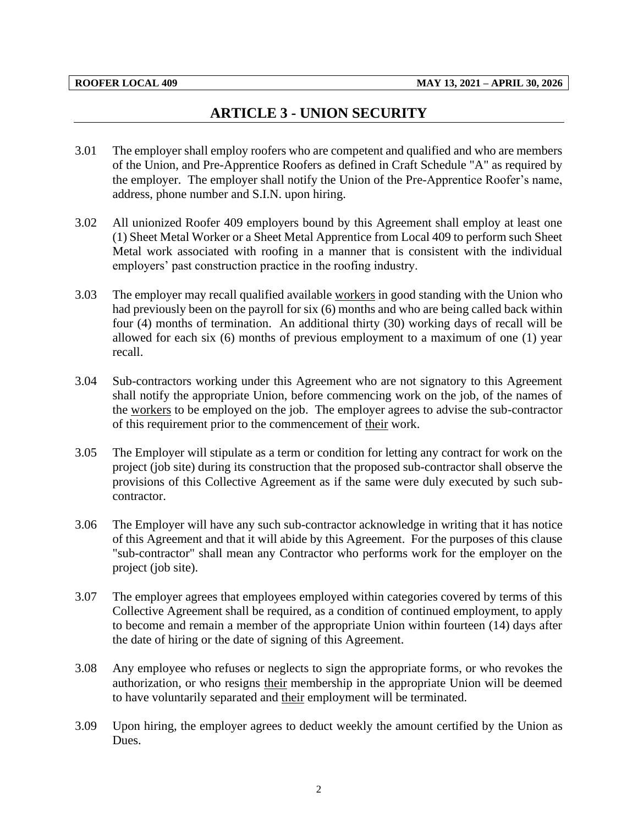# **ARTICLE 3 - UNION SECURITY**

- <span id="page-4-0"></span>3.01 The employer shall employ roofers who are competent and qualified and who are members of the Union, and Pre-Apprentice Roofers as defined in Craft Schedule "A" as required by the employer. The employer shall notify the Union of the Pre-Apprentice Roofer's name, address, phone number and S.I.N. upon hiring.
- 3.02 All unionized Roofer 409 employers bound by this Agreement shall employ at least one (1) Sheet Metal Worker or a Sheet Metal Apprentice from Local 409 to perform such Sheet Metal work associated with roofing in a manner that is consistent with the individual employers' past construction practice in the roofing industry.
- 3.03 The employer may recall qualified available workers in good standing with the Union who had previously been on the payroll for six (6) months and who are being called back within four (4) months of termination. An additional thirty (30) working days of recall will be allowed for each six (6) months of previous employment to a maximum of one (1) year recall.
- 3.04 Sub-contractors working under this Agreement who are not signatory to this Agreement shall notify the appropriate Union, before commencing work on the job, of the names of the workers to be employed on the job. The employer agrees to advise the sub-contractor of this requirement prior to the commencement of their work.
- 3.05 The Employer will stipulate as a term or condition for letting any contract for work on the project (job site) during its construction that the proposed sub-contractor shall observe the provisions of this Collective Agreement as if the same were duly executed by such subcontractor.
- 3.06 The Employer will have any such sub-contractor acknowledge in writing that it has notice of this Agreement and that it will abide by this Agreement. For the purposes of this clause "sub-contractor" shall mean any Contractor who performs work for the employer on the project (job site).
- 3.07 The employer agrees that employees employed within categories covered by terms of this Collective Agreement shall be required, as a condition of continued employment, to apply to become and remain a member of the appropriate Union within fourteen (14) days after the date of hiring or the date of signing of this Agreement.
- 3.08 Any employee who refuses or neglects to sign the appropriate forms, or who revokes the authorization, or who resigns their membership in the appropriate Union will be deemed to have voluntarily separated and their employment will be terminated.
- 3.09 Upon hiring, the employer agrees to deduct weekly the amount certified by the Union as Dues.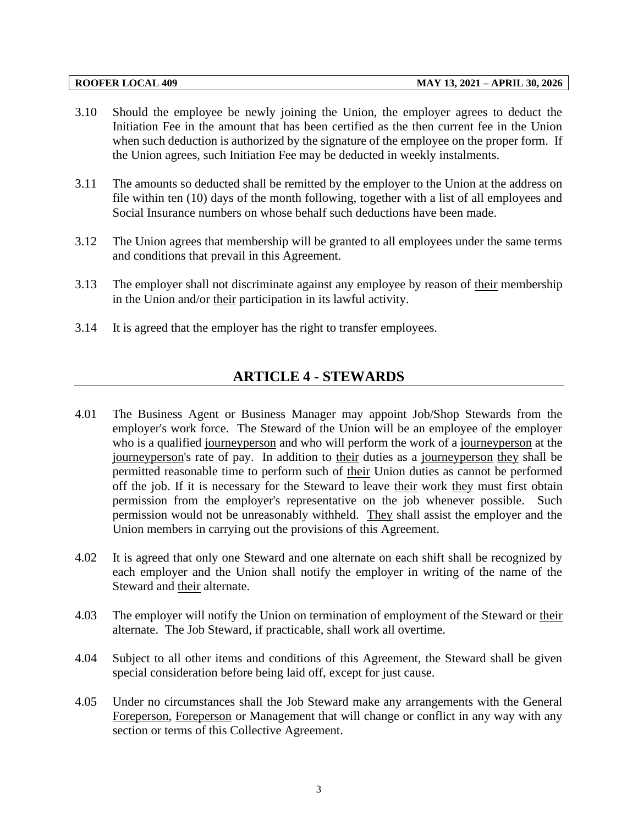- 3.10 Should the employee be newly joining the Union, the employer agrees to deduct the Initiation Fee in the amount that has been certified as the then current fee in the Union when such deduction is authorized by the signature of the employee on the proper form. If the Union agrees, such Initiation Fee may be deducted in weekly instalments.
- 3.11 The amounts so deducted shall be remitted by the employer to the Union at the address on file within ten (10) days of the month following, together with a list of all employees and Social Insurance numbers on whose behalf such deductions have been made.
- 3.12 The Union agrees that membership will be granted to all employees under the same terms and conditions that prevail in this Agreement.
- 3.13 The employer shall not discriminate against any employee by reason of their membership in the Union and/or their participation in its lawful activity.
- <span id="page-5-0"></span>3.14 It is agreed that the employer has the right to transfer employees.

# **ARTICLE 4 - STEWARDS**

- 4.01 The Business Agent or Business Manager may appoint Job/Shop Stewards from the employer's work force. The Steward of the Union will be an employee of the employer who is a qualified journeyperson and who will perform the work of a journeyperson at the journeyperson's rate of pay. In addition to their duties as a journeyperson they shall be permitted reasonable time to perform such of their Union duties as cannot be performed off the job. If it is necessary for the Steward to leave their work they must first obtain permission from the employer's representative on the job whenever possible. Such permission would not be unreasonably withheld. They shall assist the employer and the Union members in carrying out the provisions of this Agreement.
- 4.02 It is agreed that only one Steward and one alternate on each shift shall be recognized by each employer and the Union shall notify the employer in writing of the name of the Steward and their alternate.
- 4.03 The employer will notify the Union on termination of employment of the Steward or their alternate. The Job Steward, if practicable, shall work all overtime.
- 4.04 Subject to all other items and conditions of this Agreement, the Steward shall be given special consideration before being laid off, except for just cause.
- 4.05 Under no circumstances shall the Job Steward make any arrangements with the General Foreperson, Foreperson or Management that will change or conflict in any way with any section or terms of this Collective Agreement.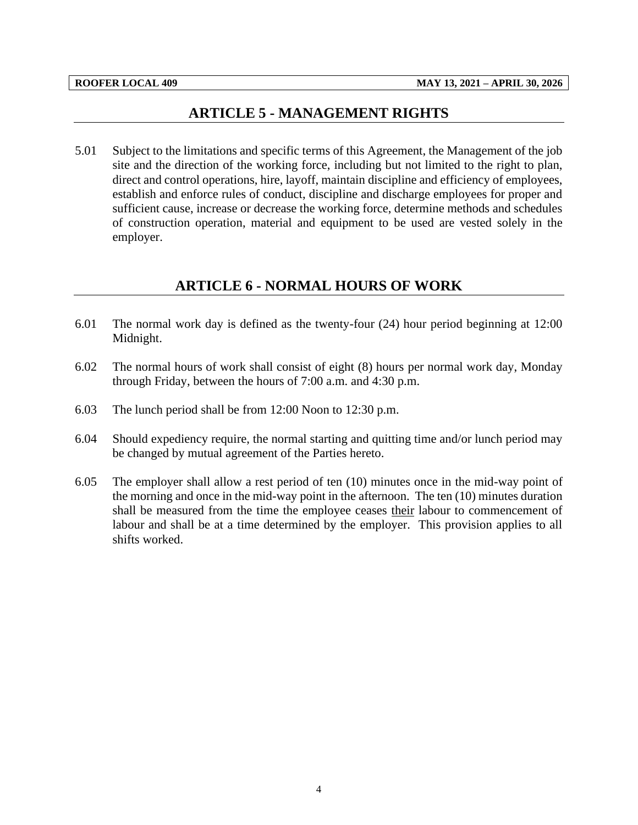# **ARTICLE 5 - MANAGEMENT RIGHTS**

<span id="page-6-0"></span>5.01 Subject to the limitations and specific terms of this Agreement, the Management of the job site and the direction of the working force, including but not limited to the right to plan, direct and control operations, hire, layoff, maintain discipline and efficiency of employees, establish and enforce rules of conduct, discipline and discharge employees for proper and sufficient cause, increase or decrease the working force, determine methods and schedules of construction operation, material and equipment to be used are vested solely in the employer.

# **ARTICLE 6 - NORMAL HOURS OF WORK**

- <span id="page-6-1"></span>6.01 The normal work day is defined as the twenty-four (24) hour period beginning at 12:00 Midnight.
- 6.02 The normal hours of work shall consist of eight (8) hours per normal work day, Monday through Friday, between the hours of 7:00 a.m. and 4:30 p.m.
- 6.03 The lunch period shall be from 12:00 Noon to 12:30 p.m.
- 6.04 Should expediency require, the normal starting and quitting time and/or lunch period may be changed by mutual agreement of the Parties hereto.
- 6.05 The employer shall allow a rest period of ten (10) minutes once in the mid-way point of the morning and once in the mid-way point in the afternoon. The ten (10) minutes duration shall be measured from the time the employee ceases their labour to commencement of labour and shall be at a time determined by the employer. This provision applies to all shifts worked.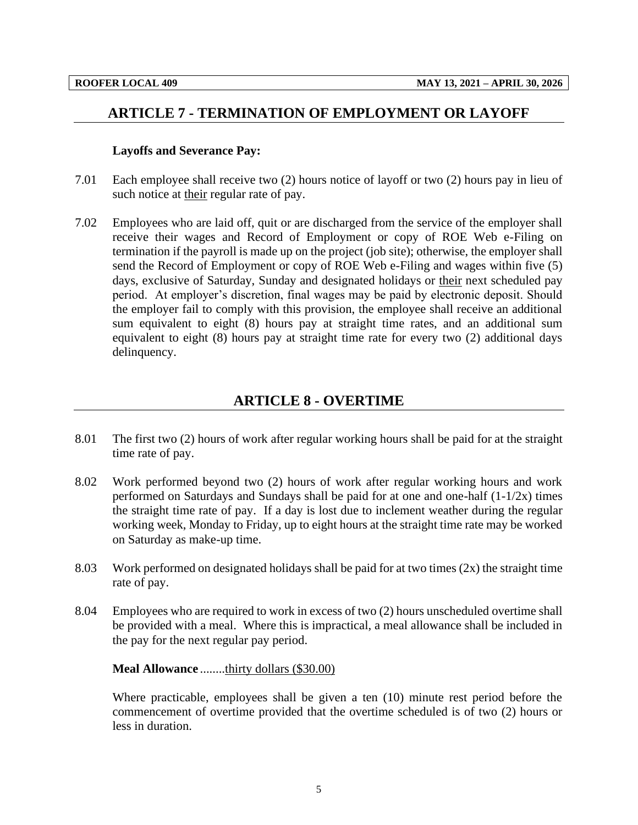## <span id="page-7-0"></span>**ARTICLE 7 - TERMINATION OF EMPLOYMENT OR LAYOFF**

#### **Layoffs and Severance Pay:**

- 7.01 Each employee shall receive two (2) hours notice of layoff or two (2) hours pay in lieu of such notice at their regular rate of pay.
- 7.02 Employees who are laid off, quit or are discharged from the service of the employer shall receive their wages and Record of Employment or copy of ROE Web e-Filing on termination if the payroll is made up on the project (job site); otherwise, the employer shall send the Record of Employment or copy of ROE Web e-Filing and wages within five (5) days, exclusive of Saturday, Sunday and designated holidays or their next scheduled pay period. At employer's discretion, final wages may be paid by electronic deposit. Should the employer fail to comply with this provision, the employee shall receive an additional sum equivalent to eight (8) hours pay at straight time rates, and an additional sum equivalent to eight (8) hours pay at straight time rate for every two (2) additional days delinquency.

## **ARTICLE 8 - OVERTIME**

- <span id="page-7-1"></span>8.01 The first two (2) hours of work after regular working hours shall be paid for at the straight time rate of pay.
- 8.02 Work performed beyond two (2) hours of work after regular working hours and work performed on Saturdays and Sundays shall be paid for at one and one-half (1-1/2x) times the straight time rate of pay. If a day is lost due to inclement weather during the regular working week, Monday to Friday, up to eight hours at the straight time rate may be worked on Saturday as make-up time.
- 8.03 Work performed on designated holidays shall be paid for at two times (2x) the straight time rate of pay.
- 8.04 Employees who are required to work in excess of two (2) hours unscheduled overtime shall be provided with a meal. Where this is impractical, a meal allowance shall be included in the pay for the next regular pay period.

#### **Meal Allowance** ........thirty dollars (\$30.00)

Where practicable, employees shall be given a ten (10) minute rest period before the commencement of overtime provided that the overtime scheduled is of two (2) hours or less in duration.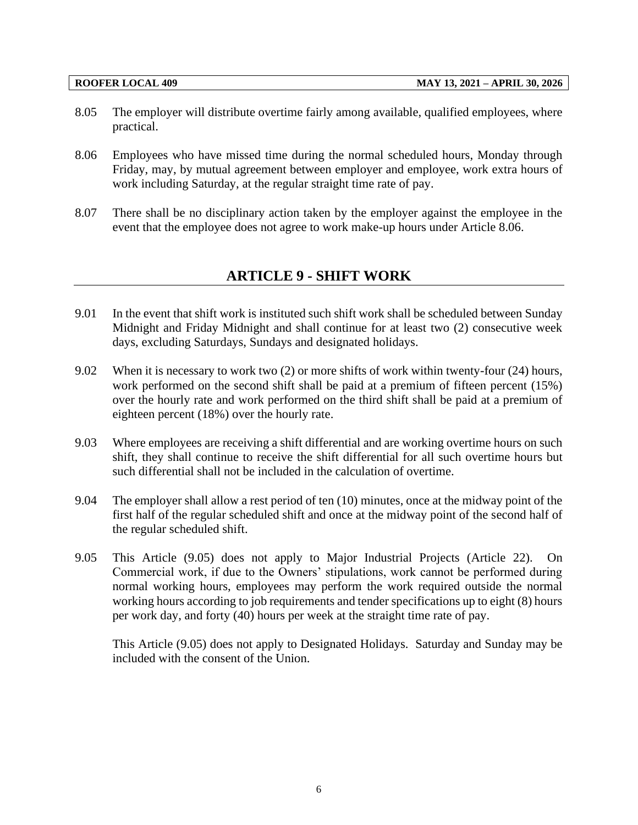- 8.05 The employer will distribute overtime fairly among available, qualified employees, where practical.
- 8.06 Employees who have missed time during the normal scheduled hours, Monday through Friday, may, by mutual agreement between employer and employee, work extra hours of work including Saturday, at the regular straight time rate of pay.
- <span id="page-8-0"></span>8.07 There shall be no disciplinary action taken by the employer against the employee in the event that the employee does not agree to work make-up hours under Article 8.06.

# **ARTICLE 9 - SHIFT WORK**

- 9.01 In the event that shift work is instituted such shift work shall be scheduled between Sunday Midnight and Friday Midnight and shall continue for at least two (2) consecutive week days, excluding Saturdays, Sundays and designated holidays.
- 9.02 When it is necessary to work two (2) or more shifts of work within twenty-four (24) hours, work performed on the second shift shall be paid at a premium of fifteen percent (15%) over the hourly rate and work performed on the third shift shall be paid at a premium of eighteen percent (18%) over the hourly rate.
- 9.03 Where employees are receiving a shift differential and are working overtime hours on such shift, they shall continue to receive the shift differential for all such overtime hours but such differential shall not be included in the calculation of overtime.
- 9.04 The employer shall allow a rest period of ten (10) minutes, once at the midway point of the first half of the regular scheduled shift and once at the midway point of the second half of the regular scheduled shift.
- 9.05 This Article (9.05) does not apply to Major Industrial Projects (Article 22). On Commercial work, if due to the Owners' stipulations, work cannot be performed during normal working hours, employees may perform the work required outside the normal working hours according to job requirements and tender specifications up to eight (8) hours per work day, and forty (40) hours per week at the straight time rate of pay.

This Article (9.05) does not apply to Designated Holidays. Saturday and Sunday may be included with the consent of the Union.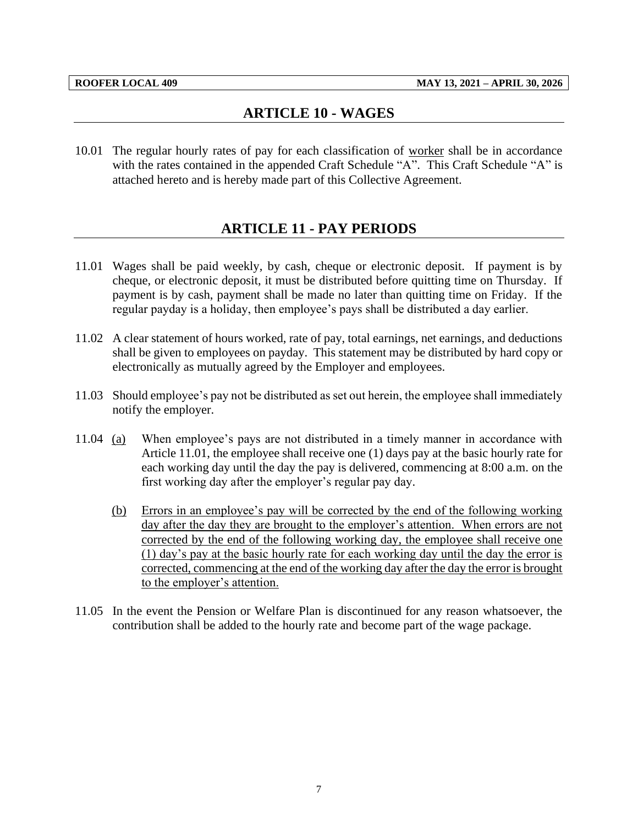# **ARTICLE 10 - WAGES**

<span id="page-9-1"></span><span id="page-9-0"></span>10.01 The regular hourly rates of pay for each classification of worker shall be in accordance with the rates contained in the appended Craft Schedule "A". This Craft Schedule "A" is attached hereto and is hereby made part of this Collective Agreement.

# **ARTICLE 11 - PAY PERIODS**

- 11.01 Wages shall be paid weekly, by cash, cheque or electronic deposit. If payment is by cheque, or electronic deposit, it must be distributed before quitting time on Thursday. If payment is by cash, payment shall be made no later than quitting time on Friday. If the regular payday is a holiday, then employee's pays shall be distributed a day earlier.
- 11.02 A clear statement of hours worked, rate of pay, total earnings, net earnings, and deductions shall be given to employees on payday. This statement may be distributed by hard copy or electronically as mutually agreed by the Employer and employees.
- 11.03 Should employee's pay not be distributed as set out herein, the employee shall immediately notify the employer.
- 11.04 (a) When employee's pays are not distributed in a timely manner in accordance with Article 11.01, the employee shall receive one (1) days pay at the basic hourly rate for each working day until the day the pay is delivered, commencing at 8:00 a.m. on the first working day after the employer's regular pay day.
	- (b) Errors in an employee's pay will be corrected by the end of the following working day after the day they are brought to the employer's attention. When errors are not corrected by the end of the following working day, the employee shall receive one (1) day's pay at the basic hourly rate for each working day until the day the error is corrected, commencing at the end of the working day after the day the error is brought to the employer's attention.
- 11.05 In the event the Pension or Welfare Plan is discontinued for any reason whatsoever, the contribution shall be added to the hourly rate and become part of the wage package.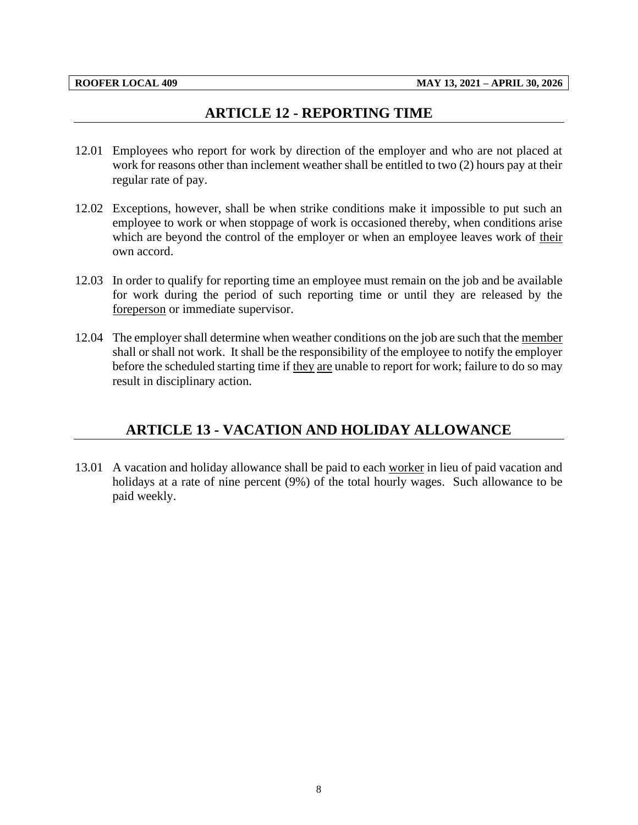# **ARTICLE 12 - REPORTING TIME**

- <span id="page-10-0"></span>12.01 Employees who report for work by direction of the employer and who are not placed at work for reasons other than inclement weather shall be entitled to two (2) hours pay at their regular rate of pay.
- 12.02 Exceptions, however, shall be when strike conditions make it impossible to put such an employee to work or when stoppage of work is occasioned thereby, when conditions arise which are beyond the control of the employer or when an employee leaves work of their own accord.
- 12.03 In order to qualify for reporting time an employee must remain on the job and be available for work during the period of such reporting time or until they are released by the foreperson or immediate supervisor.
- 12.04 The employer shall determine when weather conditions on the job are such that the member shall or shall not work. It shall be the responsibility of the employee to notify the employer before the scheduled starting time if they are unable to report for work; failure to do so may result in disciplinary action.

# <span id="page-10-1"></span>**ARTICLE 13 - VACATION AND HOLIDAY ALLOWANCE**

13.01 A vacation and holiday allowance shall be paid to each worker in lieu of paid vacation and holidays at a rate of nine percent (9%) of the total hourly wages. Such allowance to be paid weekly.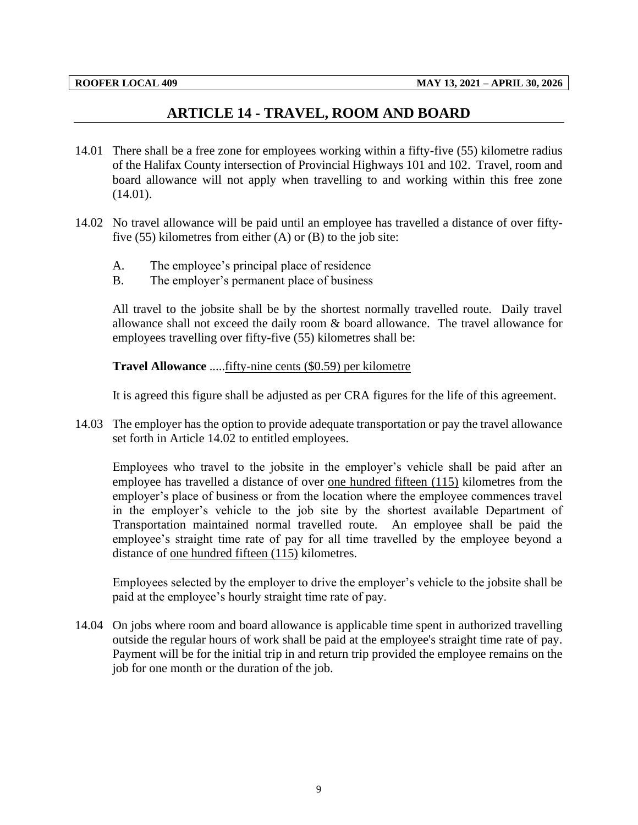# **ARTICLE 14 - TRAVEL, ROOM AND BOARD**

- <span id="page-11-0"></span>14.01 There shall be a free zone for employees working within a fifty-five (55) kilometre radius of the Halifax County intersection of Provincial Highways 101 and 102. Travel, room and board allowance will not apply when travelling to and working within this free zone (14.01).
- 14.02 No travel allowance will be paid until an employee has travelled a distance of over fiftyfive  $(55)$  kilometres from either  $(A)$  or  $(B)$  to the job site:
	- A. The employee's principal place of residence
	- B. The employer's permanent place of business

All travel to the jobsite shall be by the shortest normally travelled route. Daily travel allowance shall not exceed the daily room & board allowance. The travel allowance for employees travelling over fifty-five (55) kilometres shall be:

**Travel Allowance** .....fifty-nine cents (\$0.59) per kilometre

It is agreed this figure shall be adjusted as per CRA figures for the life of this agreement.

14.03 The employer has the option to provide adequate transportation or pay the travel allowance set forth in Article 14.02 to entitled employees.

Employees who travel to the jobsite in the employer's vehicle shall be paid after an employee has travelled a distance of over one hundred fifteen (115) kilometres from the employer's place of business or from the location where the employee commences travel in the employer's vehicle to the job site by the shortest available Department of Transportation maintained normal travelled route. An employee shall be paid the employee's straight time rate of pay for all time travelled by the employee beyond a distance of one hundred fifteen (115) kilometres.

Employees selected by the employer to drive the employer's vehicle to the jobsite shall be paid at the employee's hourly straight time rate of pay.

14.04 On jobs where room and board allowance is applicable time spent in authorized travelling outside the regular hours of work shall be paid at the employee's straight time rate of pay. Payment will be for the initial trip in and return trip provided the employee remains on the job for one month or the duration of the job.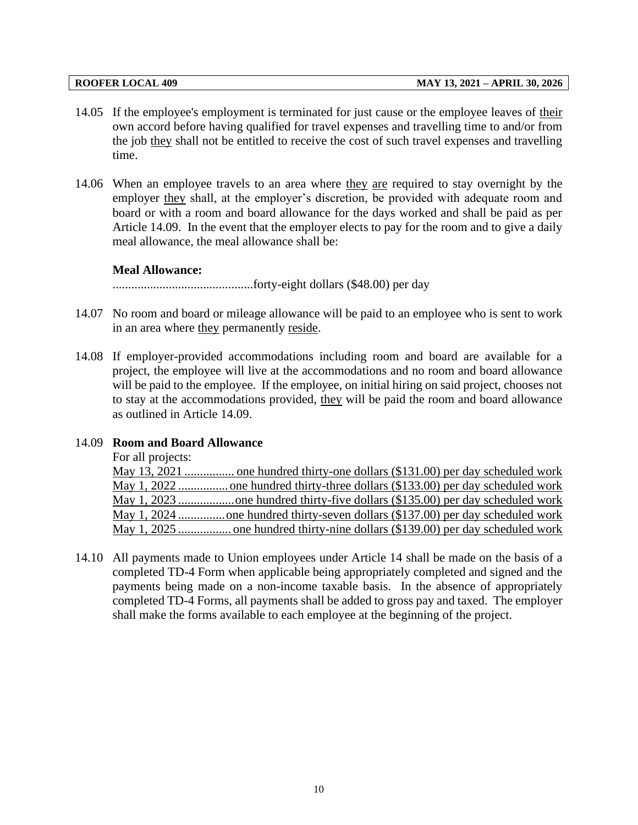- 14.05 If the employee's employment is terminated for just cause or the employee leaves of their own accord before having qualified for travel expenses and travelling time to and/or from the job they shall not be entitled to receive the cost of such travel expenses and travelling time.
- 14.06 When an employee travels to an area where they are required to stay overnight by the employer they shall, at the employer's discretion, be provided with adequate room and board or with a room and board allowance for the days worked and shall be paid as per Article 14.09. In the event that the employer elects to pay for the room and to give a daily meal allowance, the meal allowance shall be:

#### **Meal Allowance:**

.............................................forty-eight dollars (\$48.00) per day

- 14.07 No room and board or mileage allowance will be paid to an employee who is sent to work in an area where they permanently reside.
- 14.08 If employer-provided accommodations including room and board are available for a project, the employee will live at the accommodations and no room and board allowance will be paid to the employee. If the employee, on initial hiring on said project, chooses not to stay at the accommodations provided, they will be paid the room and board allowance as outlined in Article 14.09.

## 14.09 **Room and Board Allowance**

For all projects:

May 13, 2021 ................ one hundred thirty-one dollars (\$131.00) per day scheduled work May 1, 2022 ................one hundred thirty-three dollars (\$133.00) per day scheduled work May 1, 2023 ..................one hundred thirty-five dollars (\$135.00) per day scheduled work May 1, 2024 ...............one hundred thirty-seven dollars (\$137.00) per day scheduled work May 1, 2025 ................. one hundred thirty-nine dollars (\$139.00) per day scheduled work

14.10 All payments made to Union employees under Article 14 shall be made on the basis of a completed TD-4 Form when applicable being appropriately completed and signed and the payments being made on a non-income taxable basis. In the absence of appropriately completed TD-4 Forms, all payments shall be added to gross pay and taxed. The employer shall make the forms available to each employee at the beginning of the project.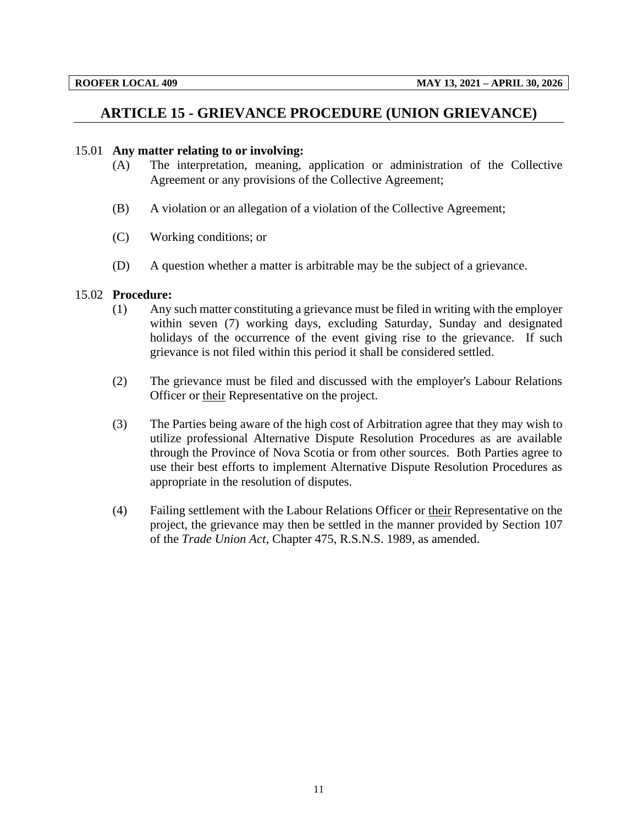# <span id="page-13-0"></span>**ARTICLE 15 - GRIEVANCE PROCEDURE (UNION GRIEVANCE)**

### 15.01 **Any matter relating to or involving:**

- (A) The interpretation, meaning, application or administration of the Collective Agreement or any provisions of the Collective Agreement;
- (B) A violation or an allegation of a violation of the Collective Agreement;
- (C) Working conditions; or
- (D) A question whether a matter is arbitrable may be the subject of a grievance.

#### 15.02 **Procedure:**

- (1) Any such matter constituting a grievance must be filed in writing with the employer within seven (7) working days, excluding Saturday, Sunday and designated holidays of the occurrence of the event giving rise to the grievance. If such grievance is not filed within this period it shall be considered settled.
- (2) The grievance must be filed and discussed with the employer's Labour Relations Officer or their Representative on the project.
- (3) The Parties being aware of the high cost of Arbitration agree that they may wish to utilize professional Alternative Dispute Resolution Procedures as are available through the Province of Nova Scotia or from other sources. Both Parties agree to use their best efforts to implement Alternative Dispute Resolution Procedures as appropriate in the resolution of disputes.
- (4) Failing settlement with the Labour Relations Officer or their Representative on the project, the grievance may then be settled in the manner provided by Section 107 of the *Trade Union Act*, Chapter 475, R.S.N.S. 1989, as amended.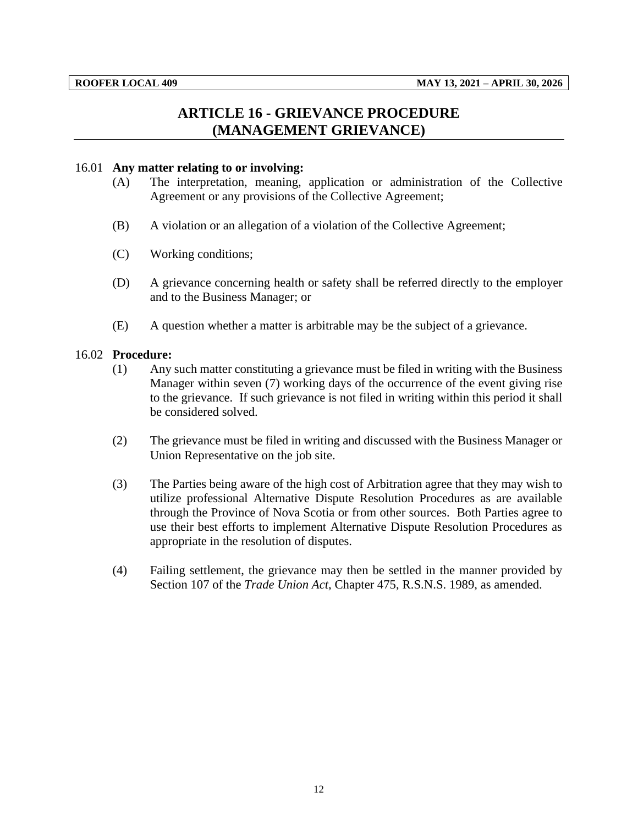# **ARTICLE 16 - GRIEVANCE PROCEDURE (MANAGEMENT GRIEVANCE)**

### <span id="page-14-0"></span>16.01 **Any matter relating to or involving:**

- (A) The interpretation, meaning, application or administration of the Collective Agreement or any provisions of the Collective Agreement;
- (B) A violation or an allegation of a violation of the Collective Agreement;
- (C) Working conditions;
- (D) A grievance concerning health or safety shall be referred directly to the employer and to the Business Manager; or
- (E) A question whether a matter is arbitrable may be the subject of a grievance.

#### 16.02 **Procedure:**

- (1) Any such matter constituting a grievance must be filed in writing with the Business Manager within seven (7) working days of the occurrence of the event giving rise to the grievance. If such grievance is not filed in writing within this period it shall be considered solved.
- (2) The grievance must be filed in writing and discussed with the Business Manager or Union Representative on the job site.
- (3) The Parties being aware of the high cost of Arbitration agree that they may wish to utilize professional Alternative Dispute Resolution Procedures as are available through the Province of Nova Scotia or from other sources. Both Parties agree to use their best efforts to implement Alternative Dispute Resolution Procedures as appropriate in the resolution of disputes.
- (4) Failing settlement, the grievance may then be settled in the manner provided by Section 107 of the *Trade Union Act*, Chapter 475, R.S.N.S. 1989, as amended.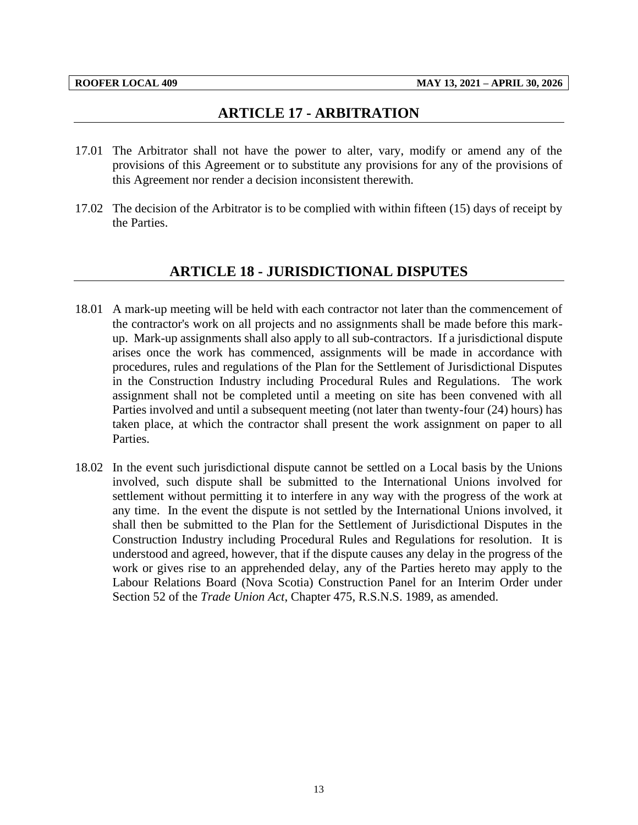## **ARTICLE 17 - ARBITRATION**

- <span id="page-15-0"></span>17.01 The Arbitrator shall not have the power to alter, vary, modify or amend any of the provisions of this Agreement or to substitute any provisions for any of the provisions of this Agreement nor render a decision inconsistent therewith.
- <span id="page-15-1"></span>17.02 The decision of the Arbitrator is to be complied with within fifteen (15) days of receipt by the Parties.

## **ARTICLE 18 - JURISDICTIONAL DISPUTES**

- 18.01 A mark-up meeting will be held with each contractor not later than the commencement of the contractor's work on all projects and no assignments shall be made before this markup. Mark-up assignments shall also apply to all sub-contractors. If a jurisdictional dispute arises once the work has commenced, assignments will be made in accordance with procedures, rules and regulations of the Plan for the Settlement of Jurisdictional Disputes in the Construction Industry including Procedural Rules and Regulations. The work assignment shall not be completed until a meeting on site has been convened with all Parties involved and until a subsequent meeting (not later than twenty-four (24) hours) has taken place, at which the contractor shall present the work assignment on paper to all Parties.
- 18.02 In the event such jurisdictional dispute cannot be settled on a Local basis by the Unions involved, such dispute shall be submitted to the International Unions involved for settlement without permitting it to interfere in any way with the progress of the work at any time. In the event the dispute is not settled by the International Unions involved, it shall then be submitted to the Plan for the Settlement of Jurisdictional Disputes in the Construction Industry including Procedural Rules and Regulations for resolution. It is understood and agreed, however, that if the dispute causes any delay in the progress of the work or gives rise to an apprehended delay, any of the Parties hereto may apply to the Labour Relations Board (Nova Scotia) Construction Panel for an Interim Order under Section 52 of the *Trade Union Act*, Chapter 475, R.S.N.S. 1989, as amended.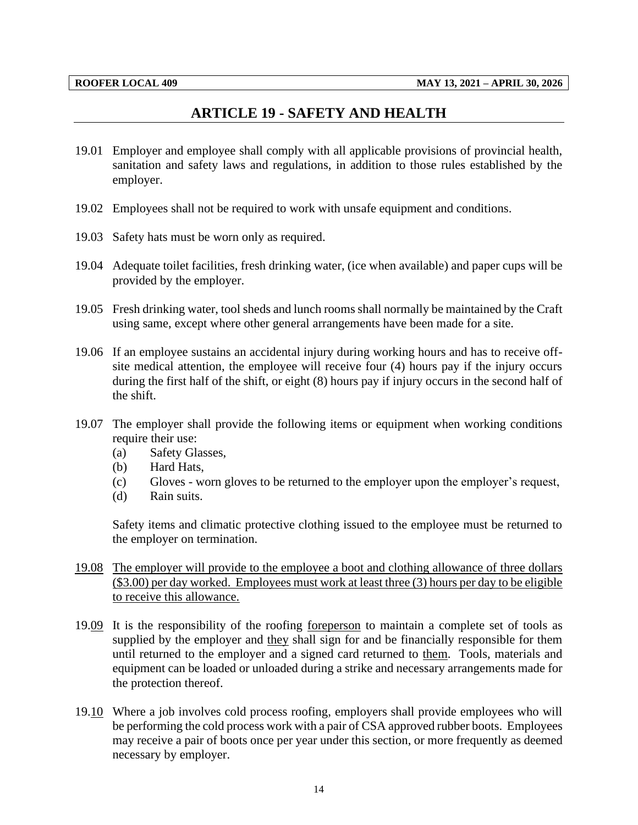## **ARTICLE 19 - SAFETY AND HEALTH**

- <span id="page-16-0"></span>19.01 Employer and employee shall comply with all applicable provisions of provincial health, sanitation and safety laws and regulations, in addition to those rules established by the employer.
- 19.02 Employees shall not be required to work with unsafe equipment and conditions.
- 19.03 Safety hats must be worn only as required.
- 19.04 Adequate toilet facilities, fresh drinking water, (ice when available) and paper cups will be provided by the employer.
- 19.05 Fresh drinking water, tool sheds and lunch rooms shall normally be maintained by the Craft using same, except where other general arrangements have been made for a site.
- 19.06 If an employee sustains an accidental injury during working hours and has to receive offsite medical attention, the employee will receive four (4) hours pay if the injury occurs during the first half of the shift, or eight (8) hours pay if injury occurs in the second half of the shift.
- 19.07 The employer shall provide the following items or equipment when working conditions require their use:
	- (a) Safety Glasses,
	- (b) Hard Hats,
	- (c) Gloves worn gloves to be returned to the employer upon the employer's request,
	- (d) Rain suits.

Safety items and climatic protective clothing issued to the employee must be returned to the employer on termination.

- 19.08 The employer will provide to the employee a boot and clothing allowance of three dollars (\$3.00) per day worked. Employees must work at least three (3) hours per day to be eligible to receive this allowance.
- 19.09 It is the responsibility of the roofing foreperson to maintain a complete set of tools as supplied by the employer and they shall sign for and be financially responsible for them until returned to the employer and a signed card returned to them. Tools, materials and equipment can be loaded or unloaded during a strike and necessary arrangements made for the protection thereof.
- 19.10 Where a job involves cold process roofing, employers shall provide employees who will be performing the cold process work with a pair of CSA approved rubber boots. Employees may receive a pair of boots once per year under this section, or more frequently as deemed necessary by employer.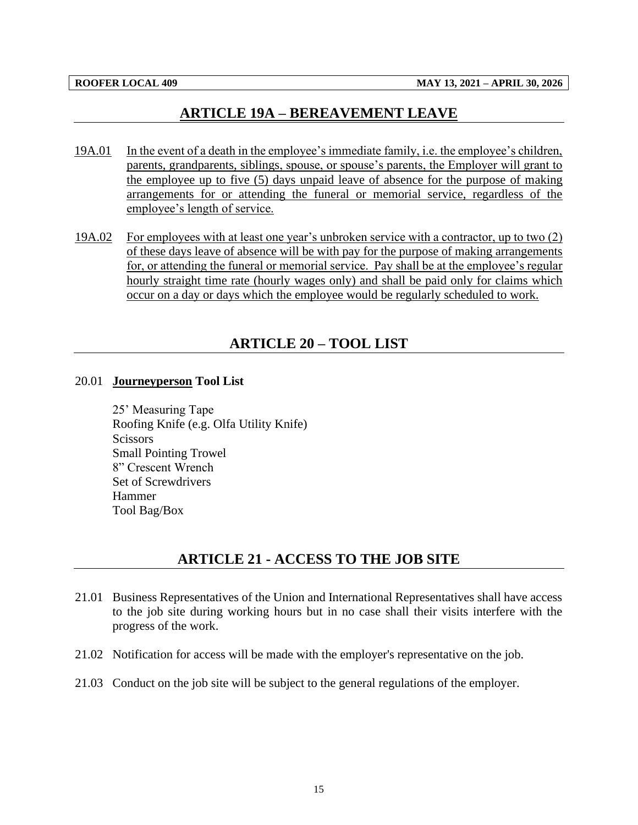## **ARTICLE 19A – BEREAVEMENT LEAVE**

- <span id="page-17-0"></span>19A.01 In the event of a death in the employee's immediate family, i.e. the employee's children, parents, grandparents, siblings, spouse, or spouse's parents, the Employer will grant to the employee up to five (5) days unpaid leave of absence for the purpose of making arrangements for or attending the funeral or memorial service, regardless of the employee's length of service.
- 19A.02 For employees with at least one year's unbroken service with a contractor, up to two (2) of these days leave of absence will be with pay for the purpose of making arrangements for, or attending the funeral or memorial service. Pay shall be at the employee's regular hourly straight time rate (hourly wages only) and shall be paid only for claims which occur on a day or days which the employee would be regularly scheduled to work.

# **ARTICLE 20 – TOOL LIST**

#### <span id="page-17-1"></span>20.01 **Journeyperson Tool List**

25' Measuring Tape Roofing Knife (e.g. Olfa Utility Knife) **Scissors** Small Pointing Trowel 8" Crescent Wrench Set of Screwdrivers Hammer Tool Bag/Box

# **ARTICLE 21 - ACCESS TO THE JOB SITE**

- <span id="page-17-2"></span>21.01 Business Representatives of the Union and International Representatives shall have access to the job site during working hours but in no case shall their visits interfere with the progress of the work.
- 21.02 Notification for access will be made with the employer's representative on the job.
- 21.03 Conduct on the job site will be subject to the general regulations of the employer.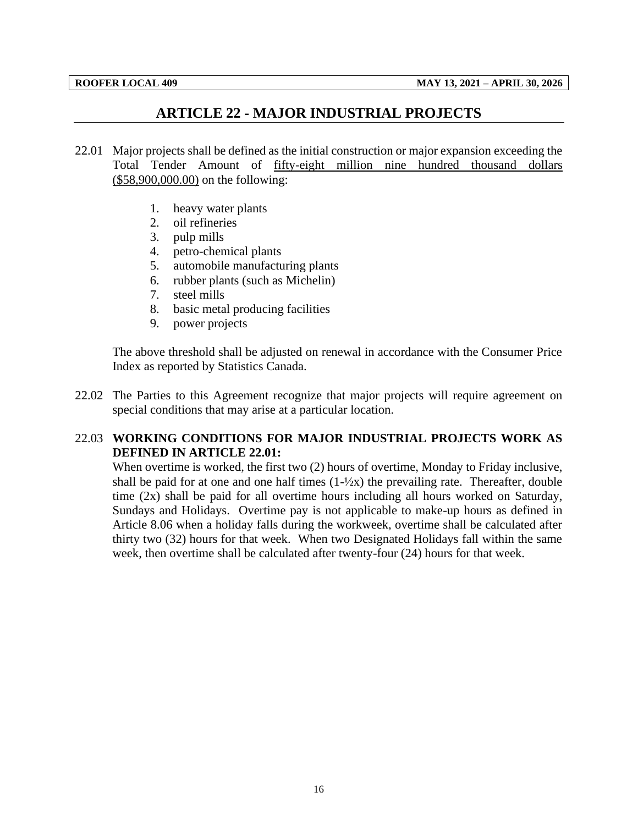# **ARTICLE 22 - MAJOR INDUSTRIAL PROJECTS**

- <span id="page-18-0"></span>22.01 Major projects shall be defined as the initial construction or major expansion exceeding the Total Tender Amount of fifty-eight million nine hundred thousand dollars (\$58,900,000.00) on the following:
	- 1. heavy water plants
	- 2. oil refineries
	- 3. pulp mills
	- 4. petro-chemical plants
	- 5. automobile manufacturing plants
	- 6. rubber plants (such as Michelin)
	- 7. steel mills
	- 8. basic metal producing facilities
	- 9. power projects

The above threshold shall be adjusted on renewal in accordance with the Consumer Price Index as reported by Statistics Canada.

22.02 The Parties to this Agreement recognize that major projects will require agreement on special conditions that may arise at a particular location.

## 22.03 **WORKING CONDITIONS FOR MAJOR INDUSTRIAL PROJECTS WORK AS DEFINED IN ARTICLE 22.01:**

When overtime is worked, the first two (2) hours of overtime, Monday to Friday inclusive, shall be paid for at one and one half times  $(1-\frac{1}{2}x)$  the prevailing rate. Thereafter, double time  $(2x)$  shall be paid for all overtime hours including all hours worked on Saturday, Sundays and Holidays. Overtime pay is not applicable to make-up hours as defined in Article 8.06 when a holiday falls during the workweek, overtime shall be calculated after thirty two (32) hours for that week. When two Designated Holidays fall within the same week, then overtime shall be calculated after twenty-four (24) hours for that week.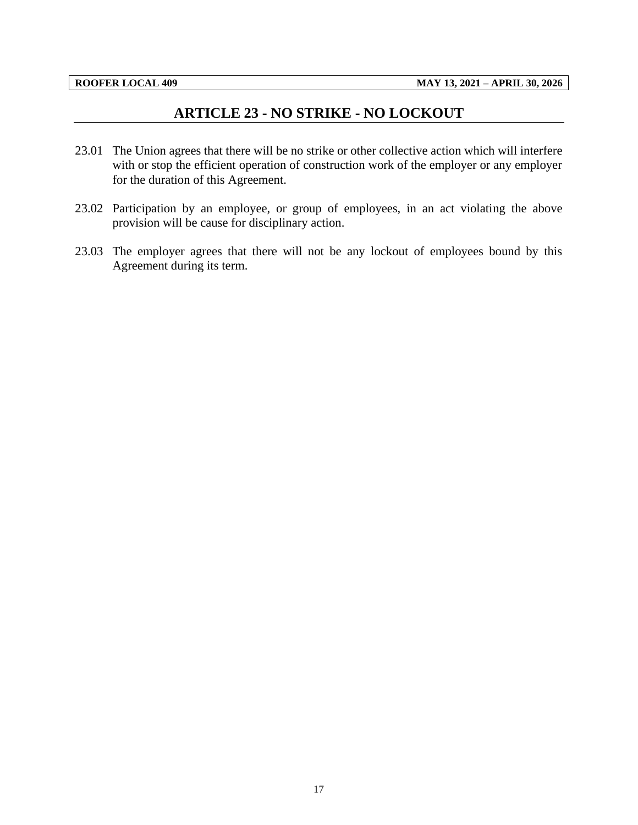# **ARTICLE 23 - NO STRIKE - NO LOCKOUT**

- <span id="page-19-0"></span>23.01 The Union agrees that there will be no strike or other collective action which will interfere with or stop the efficient operation of construction work of the employer or any employer for the duration of this Agreement.
- 23.02 Participation by an employee, or group of employees, in an act violating the above provision will be cause for disciplinary action.
- 23.03 The employer agrees that there will not be any lockout of employees bound by this Agreement during its term.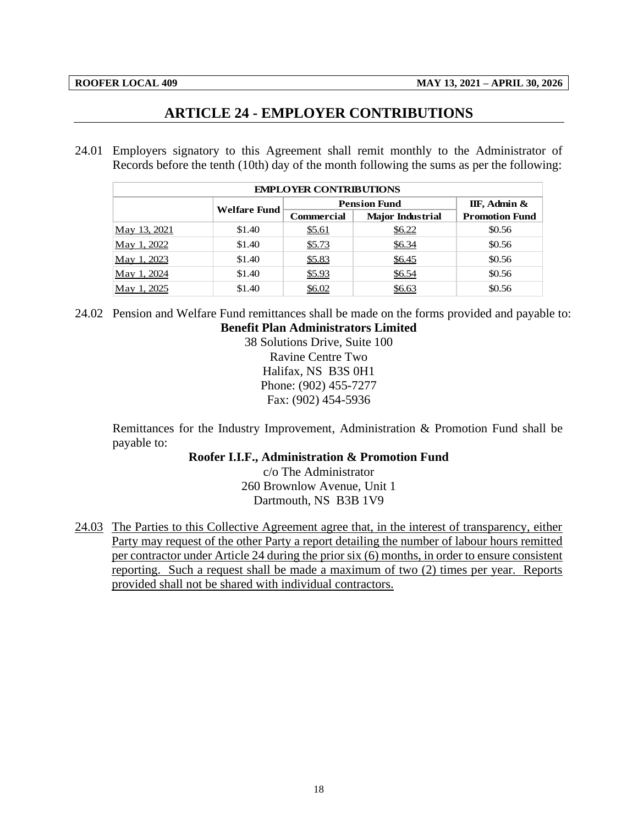# **ARTICLE 24 - EMPLOYER CONTRIBUTIONS**

<span id="page-20-0"></span>24.01 Employers signatory to this Agreement shall remit monthly to the Administrator of Records before the tenth (10th) day of the month following the sums as per the following:

| <b>EMPLOYER CONTRIBUTIONS</b> |              |                     |                         |                       |  |  |  |  |  |
|-------------------------------|--------------|---------------------|-------------------------|-----------------------|--|--|--|--|--|
|                               | Welfare Fund | <b>Pension Fund</b> |                         |                       |  |  |  |  |  |
|                               |              | <b>Commercial</b>   | <b>Major Industrial</b> | <b>Promotion Fund</b> |  |  |  |  |  |
| May 13, 2021                  | \$1.40       | <u>\$5.61</u>       | \$6.22                  | \$0.56                |  |  |  |  |  |
| May 1, 2022                   | \$1.40       | \$5.73              | \$6.34                  | \$0.56                |  |  |  |  |  |
| May 1, 2023                   | \$1.40       | \$5.83              | \$6.45                  | \$0.56                |  |  |  |  |  |
| May 1, 2024                   | \$1.40       | \$5.93              | \$6.54                  | \$0.56                |  |  |  |  |  |
| May 1, 2025                   | \$1.40       | \$6.02              | \$6.63                  | \$0.56                |  |  |  |  |  |

24.02 Pension and Welfare Fund remittances shall be made on the forms provided and payable to: **Benefit Plan Administrators Limited**

38 Solutions Drive, Suite 100 Ravine Centre Two Halifax, NS B3S 0H1 Phone: (902) 455-7277 Fax: (902) 454-5936

Remittances for the Industry Improvement, Administration & Promotion Fund shall be payable to:

## **Roofer I.I.F., Administration & Promotion Fund**

c/o The Administrator 260 Brownlow Avenue, Unit 1 Dartmouth, NS B3B 1V9

24.03 The Parties to this Collective Agreement agree that, in the interest of transparency, either Party may request of the other Party a report detailing the number of labour hours remitted per contractor under Article 24 during the prior six (6) months, in order to ensure consistent reporting. Such a request shall be made a maximum of two (2) times per year. Reports provided shall not be shared with individual contractors.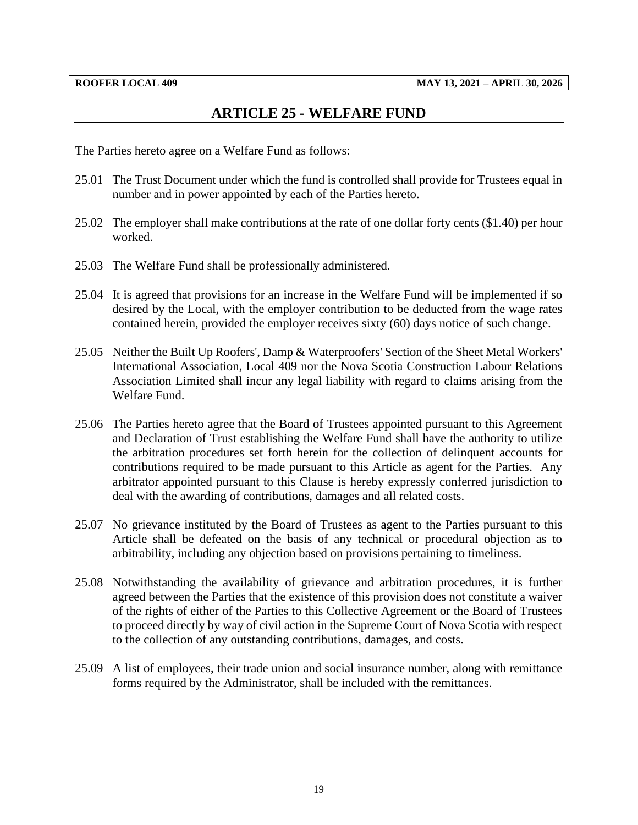## **ARTICLE 25 - WELFARE FUND**

<span id="page-21-0"></span>The Parties hereto agree on a Welfare Fund as follows:

- 25.01 The Trust Document under which the fund is controlled shall provide for Trustees equal in number and in power appointed by each of the Parties hereto.
- 25.02 The employer shall make contributions at the rate of one dollar forty cents (\$1.40) per hour worked.
- 25.03 The Welfare Fund shall be professionally administered.
- 25.04 It is agreed that provisions for an increase in the Welfare Fund will be implemented if so desired by the Local, with the employer contribution to be deducted from the wage rates contained herein, provided the employer receives sixty (60) days notice of such change.
- 25.05 Neither the Built Up Roofers', Damp & Waterproofers' Section of the Sheet Metal Workers' International Association, Local 409 nor the Nova Scotia Construction Labour Relations Association Limited shall incur any legal liability with regard to claims arising from the Welfare Fund.
- 25.06 The Parties hereto agree that the Board of Trustees appointed pursuant to this Agreement and Declaration of Trust establishing the Welfare Fund shall have the authority to utilize the arbitration procedures set forth herein for the collection of delinquent accounts for contributions required to be made pursuant to this Article as agent for the Parties. Any arbitrator appointed pursuant to this Clause is hereby expressly conferred jurisdiction to deal with the awarding of contributions, damages and all related costs.
- 25.07 No grievance instituted by the Board of Trustees as agent to the Parties pursuant to this Article shall be defeated on the basis of any technical or procedural objection as to arbitrability, including any objection based on provisions pertaining to timeliness.
- 25.08 Notwithstanding the availability of grievance and arbitration procedures, it is further agreed between the Parties that the existence of this provision does not constitute a waiver of the rights of either of the Parties to this Collective Agreement or the Board of Trustees to proceed directly by way of civil action in the Supreme Court of Nova Scotia with respect to the collection of any outstanding contributions, damages, and costs.
- 25.09 A list of employees, their trade union and social insurance number, along with remittance forms required by the Administrator, shall be included with the remittances.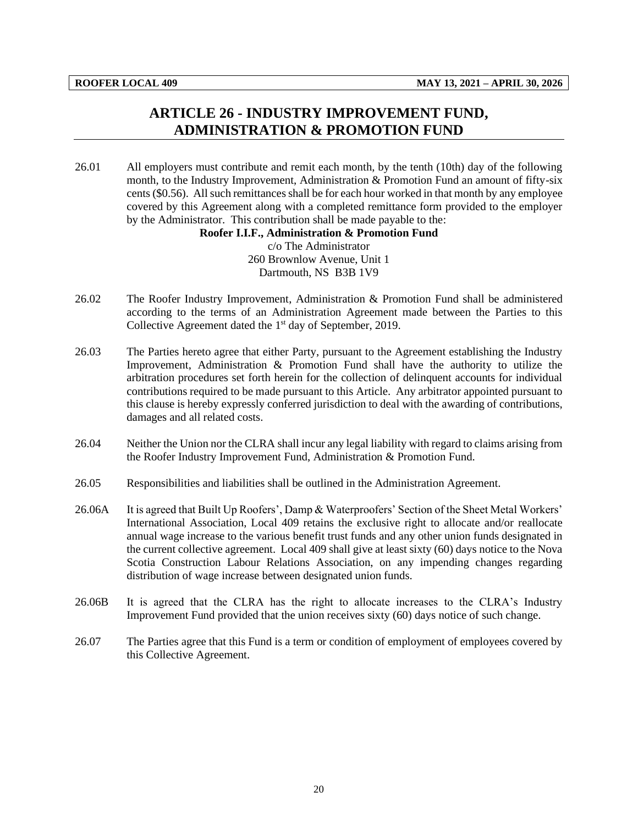# **ARTICLE 26 - INDUSTRY IMPROVEMENT FUND, ADMINISTRATION & PROMOTION FUND**

<span id="page-22-0"></span>26.01 All employers must contribute and remit each month, by the tenth (10th) day of the following month, to the Industry Improvement, Administration & Promotion Fund an amount of fifty-six cents (\$0.56). All such remittances shall be for each hour worked in that month by any employee covered by this Agreement along with a completed remittance form provided to the employer by the Administrator. This contribution shall be made payable to the:

#### **Roofer I.I.F., Administration & Promotion Fund**

c/o The Administrator 260 Brownlow Avenue, Unit 1 Dartmouth, NS B3B 1V9

- 26.02 The Roofer Industry Improvement, Administration & Promotion Fund shall be administered according to the terms of an Administration Agreement made between the Parties to this Collective Agreement dated the 1<sup>st</sup> day of September, 2019.
- 26.03 The Parties hereto agree that either Party, pursuant to the Agreement establishing the Industry Improvement, Administration & Promotion Fund shall have the authority to utilize the arbitration procedures set forth herein for the collection of delinquent accounts for individual contributions required to be made pursuant to this Article. Any arbitrator appointed pursuant to this clause is hereby expressly conferred jurisdiction to deal with the awarding of contributions, damages and all related costs.
- 26.04 Neither the Union nor the CLRA shall incur any legal liability with regard to claims arising from the Roofer Industry Improvement Fund, Administration & Promotion Fund.
- 26.05 Responsibilities and liabilities shall be outlined in the Administration Agreement.
- 26.06A It is agreed that Built Up Roofers', Damp & Waterproofers' Section of the Sheet Metal Workers' International Association, Local 409 retains the exclusive right to allocate and/or reallocate annual wage increase to the various benefit trust funds and any other union funds designated in the current collective agreement. Local 409 shall give at least sixty (60) days notice to the Nova Scotia Construction Labour Relations Association, on any impending changes regarding distribution of wage increase between designated union funds.
- 26.06B It is agreed that the CLRA has the right to allocate increases to the CLRA's Industry Improvement Fund provided that the union receives sixty (60) days notice of such change.
- 26.07 The Parties agree that this Fund is a term or condition of employment of employees covered by this Collective Agreement.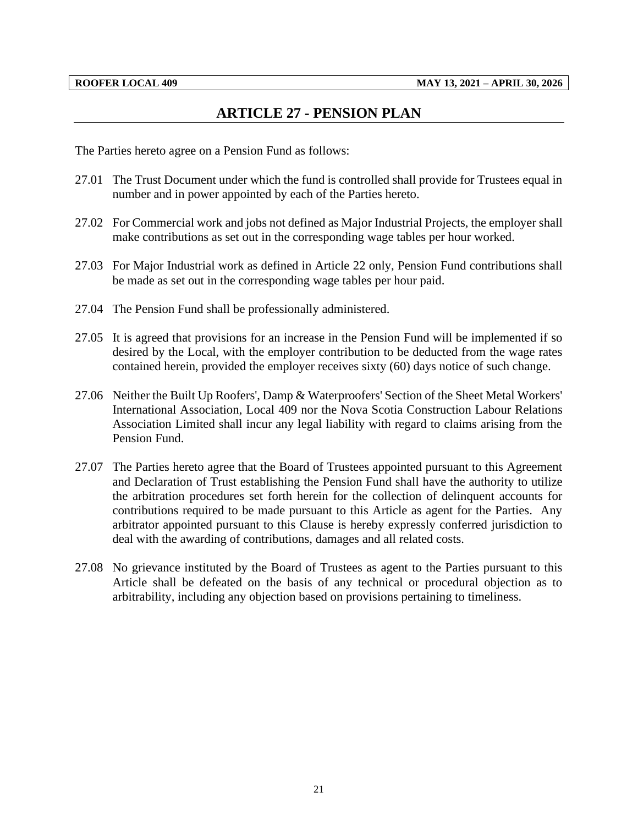# **ARTICLE 27 - PENSION PLAN**

<span id="page-23-0"></span>The Parties hereto agree on a Pension Fund as follows:

- 27.01 The Trust Document under which the fund is controlled shall provide for Trustees equal in number and in power appointed by each of the Parties hereto.
- 27.02 For Commercial work and jobs not defined as Major Industrial Projects, the employer shall make contributions as set out in the corresponding wage tables per hour worked.
- 27.03 For Major Industrial work as defined in Article 22 only, Pension Fund contributions shall be made as set out in the corresponding wage tables per hour paid.
- 27.04 The Pension Fund shall be professionally administered.
- 27.05 It is agreed that provisions for an increase in the Pension Fund will be implemented if so desired by the Local, with the employer contribution to be deducted from the wage rates contained herein, provided the employer receives sixty (60) days notice of such change.
- 27.06 Neither the Built Up Roofers', Damp & Waterproofers' Section of the Sheet Metal Workers' International Association, Local 409 nor the Nova Scotia Construction Labour Relations Association Limited shall incur any legal liability with regard to claims arising from the Pension Fund.
- 27.07 The Parties hereto agree that the Board of Trustees appointed pursuant to this Agreement and Declaration of Trust establishing the Pension Fund shall have the authority to utilize the arbitration procedures set forth herein for the collection of delinquent accounts for contributions required to be made pursuant to this Article as agent for the Parties. Any arbitrator appointed pursuant to this Clause is hereby expressly conferred jurisdiction to deal with the awarding of contributions, damages and all related costs.
- 27.08 No grievance instituted by the Board of Trustees as agent to the Parties pursuant to this Article shall be defeated on the basis of any technical or procedural objection as to arbitrability, including any objection based on provisions pertaining to timeliness.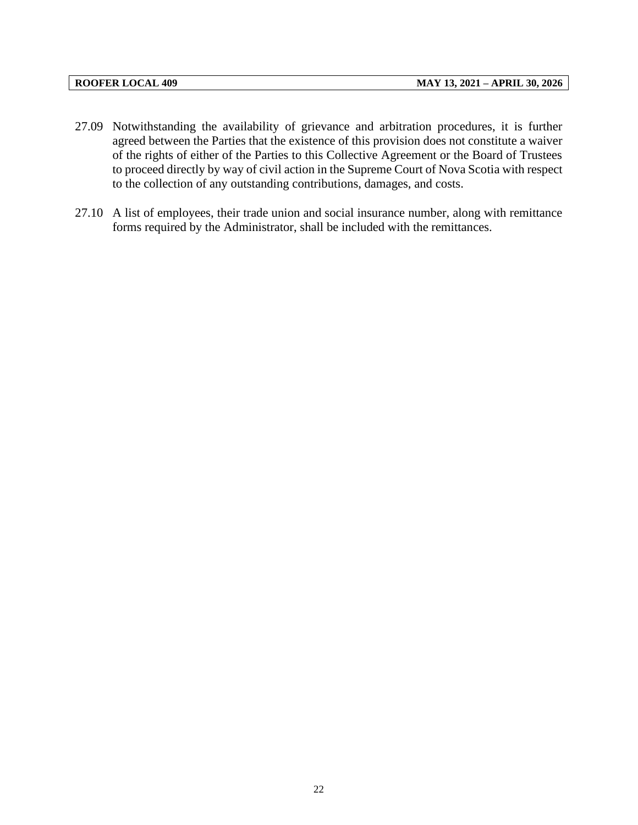| <b>ROOFER LOCAL 409</b> |  |
|-------------------------|--|
|-------------------------|--|

- 27.09 Notwithstanding the availability of grievance and arbitration procedures, it is further agreed between the Parties that the existence of this provision does not constitute a waiver of the rights of either of the Parties to this Collective Agreement or the Board of Trustees to proceed directly by way of civil action in the Supreme Court of Nova Scotia with respect to the collection of any outstanding contributions, damages, and costs.
- 27.10 A list of employees, their trade union and social insurance number, along with remittance forms required by the Administrator, shall be included with the remittances.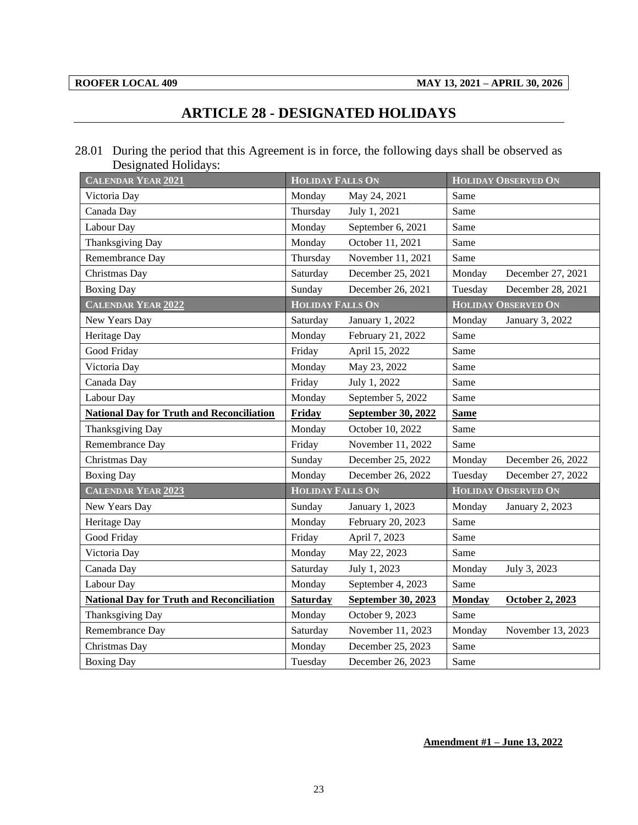# **ARTICLE 28 - DESIGNATED HOLIDAYS**

<span id="page-25-0"></span>28.01 During the period that this Agreement is in force, the following days shall be observed as Designated Holidays:

| <b>CALENDAR YEAR 2021</b>                        | <b>HOLIDAY FALLS ON</b> |                    |               | <b>HOLIDAY OBSERVED ON</b> |
|--------------------------------------------------|-------------------------|--------------------|---------------|----------------------------|
| Victoria Day                                     | Monday                  | May 24, 2021       | Same          |                            |
| Canada Day                                       | Thursday                | July 1, 2021       | Same          |                            |
| Labour Day                                       | Monday                  | September 6, 2021  | Same          |                            |
| Thanksgiving Day                                 | Monday                  | October 11, 2021   | Same          |                            |
| Remembrance Day                                  | Thursday                | November 11, 2021  | Same          |                            |
| Christmas Day                                    | Saturday                | December 25, 2021  | Monday        | December 27, 2021          |
| <b>Boxing Day</b>                                | Sunday                  | December 26, 2021  | Tuesday       | December 28, 2021          |
| <b>CALENDAR YEAR 2022</b>                        | <b>HOLIDAY FALLS ON</b> |                    |               | <b>HOLIDAY OBSERVED ON</b> |
| New Years Day                                    | Saturday                | January 1, 2022    | Monday        | January 3, 2022            |
| Heritage Day                                     | Monday                  | February 21, 2022  | Same          |                            |
| Good Friday                                      | Friday                  | April 15, 2022     | Same          |                            |
| Victoria Day                                     | Monday                  | May 23, 2022       | Same          |                            |
| Canada Day                                       | Friday                  | July 1, 2022       | Same          |                            |
| Labour Day                                       | Monday                  | September 5, 2022  | Same          |                            |
| <b>National Day for Truth and Reconciliation</b> | Friday                  | September 30, 2022 | <b>Same</b>   |                            |
| Thanksgiving Day                                 | Monday                  | October 10, 2022   | Same          |                            |
| Remembrance Day                                  | Friday                  | November 11, 2022  | Same          |                            |
| Christmas Day                                    | Sunday                  | December 25, 2022  | Monday        | December 26, 2022          |
| <b>Boxing Day</b>                                | Monday                  | December 26, 2022  | Tuesday       | December 27, 2022          |
| <b>CALENDAR YEAR 2023</b>                        | <b>HOLIDAY FALLS ON</b> |                    |               | <b>HOLIDAY OBSERVED ON</b> |
| New Years Day                                    | Sunday                  | January 1, 2023    | Monday        | January 2, 2023            |
| Heritage Day                                     | Monday                  | February 20, 2023  | Same          |                            |
| Good Friday                                      | Friday                  | April 7, 2023      | Same          |                            |
| Victoria Day                                     | Monday                  | May 22, 2023       | Same          |                            |
| Canada Day                                       | Saturday                | July 1, 2023       | Monday        | July 3, 2023               |
| Labour Day                                       | Monday                  | September 4, 2023  | Same          |                            |
| <b>National Day for Truth and Reconciliation</b> | <b>Saturday</b>         | September 30, 2023 | <b>Monday</b> | <b>October 2, 2023</b>     |
| Thanksgiving Day                                 | Monday                  | October 9, 2023    | Same          |                            |
| Remembrance Day                                  | Saturday                | November 11, 2023  | Monday        | November 13, 2023          |
| Christmas Day                                    | Monday                  | December 25, 2023  | Same          |                            |
| <b>Boxing Day</b>                                | Tuesday                 | December 26, 2023  | Same          |                            |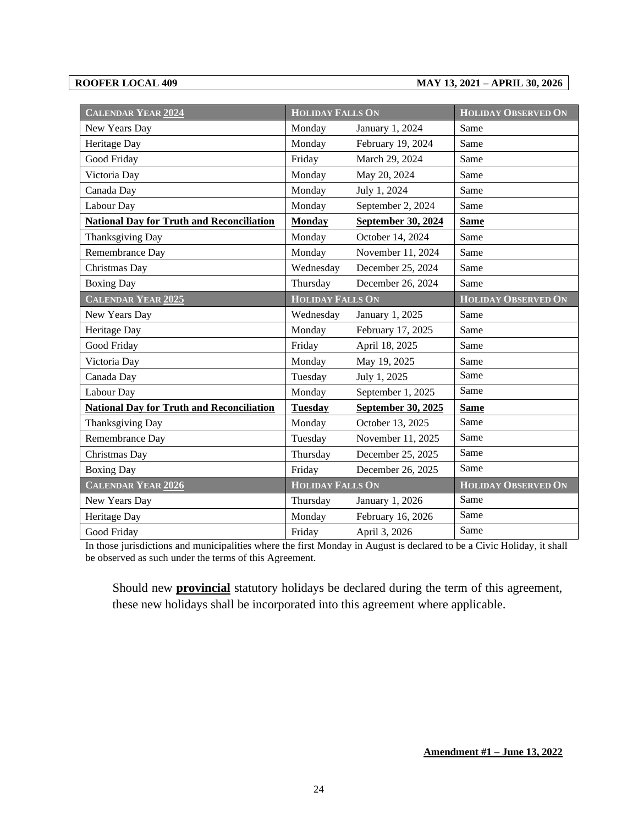#### **ROOFER LOCAL 409 MAY 13, 2021 – APRIL 30, 2026**

| <b>CALENDAR YEAR 2024</b>                        | <b>HOLIDAY FALLS ON</b> |                    | <b>HOLIDAY OBSERVED ON</b> |
|--------------------------------------------------|-------------------------|--------------------|----------------------------|
| New Years Day                                    | Monday                  | January 1, 2024    | Same                       |
| Heritage Day                                     | Monday                  | February 19, 2024  | Same                       |
| Good Friday                                      | Friday                  | March 29, 2024     | Same                       |
| Victoria Day                                     | Monday                  | May 20, 2024       | Same                       |
| Canada Day                                       | Monday                  | July 1, 2024       | Same                       |
| Labour Day                                       | Monday                  | September 2, 2024  | Same                       |
| <b>National Day for Truth and Reconciliation</b> | <b>Monday</b>           | September 30, 2024 | <b>Same</b>                |
| Thanksgiving Day                                 | Monday                  | October 14, 2024   | Same                       |
| Remembrance Day                                  | Monday                  | November 11, 2024  | Same                       |
| Christmas Day                                    | Wednesday               | December 25, 2024  | Same                       |
| <b>Boxing Day</b>                                | Thursday                | December 26, 2024  | Same                       |
| <b>CALENDAR YEAR 2025</b>                        | <b>HOLIDAY FALLS ON</b> |                    | <b>HOLIDAY OBSERVED ON</b> |
| New Years Day                                    | Wednesday               | January 1, 2025    | Same                       |
| Heritage Day                                     | Monday                  | February 17, 2025  | Same                       |
| Good Friday                                      | Friday                  | April 18, 2025     | Same                       |
| Victoria Day                                     | Monday                  | May 19, 2025       | Same                       |
| Canada Day                                       | Tuesday                 | July 1, 2025       | Same                       |
| Labour Day                                       | Monday                  | September 1, 2025  | Same                       |
| <b>National Day for Truth and Reconciliation</b> | <b>Tuesday</b>          | September 30, 2025 | <b>Same</b>                |
| Thanksgiving Day                                 | Monday                  | October 13, 2025   | Same                       |
| Remembrance Day                                  | Tuesday                 | November 11, 2025  | Same                       |
| Christmas Day                                    | Thursday                | December 25, 2025  | Same                       |
| <b>Boxing Day</b>                                | Friday                  | December 26, 2025  | Same                       |
| CALENDAR YEAR 2026                               | <b>HOLIDAY FALLS ON</b> |                    | <b>HOLIDAY OBSERVED ON</b> |
| New Years Day                                    | Thursday                | January 1, 2026    | Same                       |
| Heritage Day                                     | Monday                  | February 16, 2026  | Same                       |
| Good Friday                                      | Friday                  | April 3, 2026      | Same                       |

In those jurisdictions and municipalities where the first Monday in August is declared to be a Civic Holiday, it shall be observed as such under the terms of this Agreement.

Should new **provincial** statutory holidays be declared during the term of this agreement, these new holidays shall be incorporated into this agreement where applicable.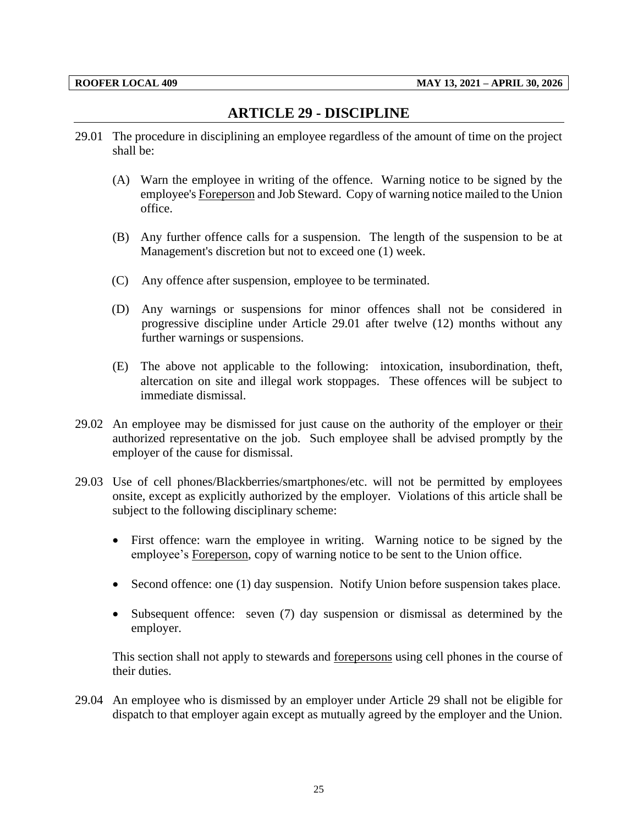# **ARTICLE 29 - DISCIPLINE**

- <span id="page-27-0"></span>29.01 The procedure in disciplining an employee regardless of the amount of time on the project shall be:
	- (A) Warn the employee in writing of the offence. Warning notice to be signed by the employee's Foreperson and Job Steward. Copy of warning notice mailed to the Union office.
	- (B) Any further offence calls for a suspension. The length of the suspension to be at Management's discretion but not to exceed one (1) week.
	- (C) Any offence after suspension, employee to be terminated.
	- (D) Any warnings or suspensions for minor offences shall not be considered in progressive discipline under Article 29.01 after twelve (12) months without any further warnings or suspensions.
	- (E) The above not applicable to the following: intoxication, insubordination, theft, altercation on site and illegal work stoppages. These offences will be subject to immediate dismissal.
- 29.02 An employee may be dismissed for just cause on the authority of the employer or their authorized representative on the job. Such employee shall be advised promptly by the employer of the cause for dismissal.
- 29.03 Use of cell phones/Blackberries/smartphones/etc. will not be permitted by employees onsite, except as explicitly authorized by the employer. Violations of this article shall be subject to the following disciplinary scheme:
	- First offence: warn the employee in writing. Warning notice to be signed by the employee's Foreperson, copy of warning notice to be sent to the Union office.
	- Second offence: one (1) day suspension. Notify Union before suspension takes place.
	- Subsequent offence: seven (7) day suspension or dismissal as determined by the employer.

This section shall not apply to stewards and <u>forepersons</u> using cell phones in the course of their duties.

29.04 An employee who is dismissed by an employer under Article 29 shall not be eligible for dispatch to that employer again except as mutually agreed by the employer and the Union.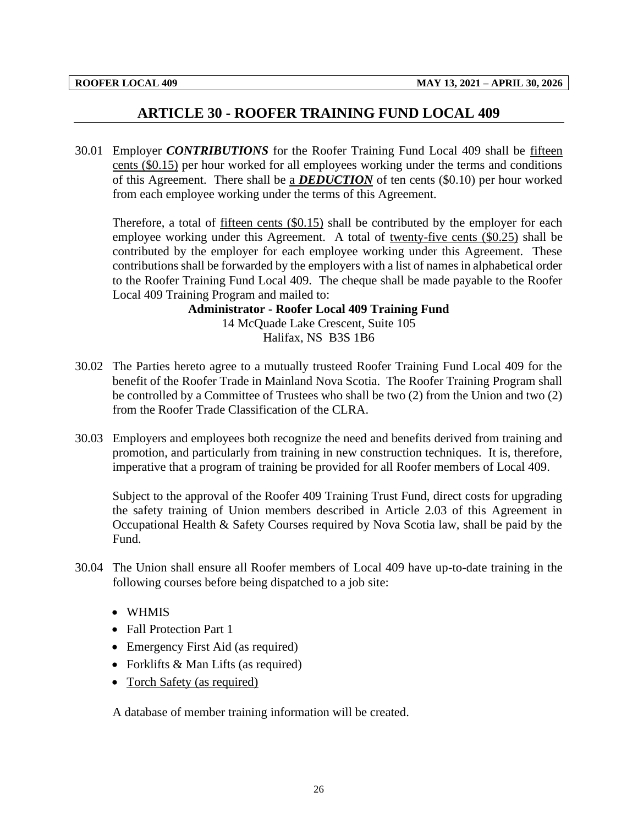## **ARTICLE 30 - ROOFER TRAINING FUND LOCAL 409**

<span id="page-28-0"></span>30.01 Employer *CONTRIBUTIONS* for the Roofer Training Fund Local 409 shall be fifteen cents (\$0.15) per hour worked for all employees working under the terms and conditions of this Agreement. There shall be a *DEDUCTION* of ten cents (\$0.10) per hour worked from each employee working under the terms of this Agreement.

Therefore, a total of fifteen cents (\$0.15) shall be contributed by the employer for each employee working under this Agreement. A total of twenty-five cents (\$0.25) shall be contributed by the employer for each employee working under this Agreement. These contributions shall be forwarded by the employers with a list of names in alphabetical order to the Roofer Training Fund Local 409. The cheque shall be made payable to the Roofer Local 409 Training Program and mailed to:

**Administrator - Roofer Local 409 Training Fund**

14 McQuade Lake Crescent, Suite 105 Halifax, NS B3S 1B6

- 30.02 The Parties hereto agree to a mutually trusteed Roofer Training Fund Local 409 for the benefit of the Roofer Trade in Mainland Nova Scotia. The Roofer Training Program shall be controlled by a Committee of Trustees who shall be two (2) from the Union and two (2) from the Roofer Trade Classification of the CLRA.
- 30.03 Employers and employees both recognize the need and benefits derived from training and promotion, and particularly from training in new construction techniques. It is, therefore, imperative that a program of training be provided for all Roofer members of Local 409.

Subject to the approval of the Roofer 409 Training Trust Fund, direct costs for upgrading the safety training of Union members described in Article 2.03 of this Agreement in Occupational Health & Safety Courses required by Nova Scotia law, shall be paid by the Fund.

- 30.04 The Union shall ensure all Roofer members of Local 409 have up-to-date training in the following courses before being dispatched to a job site:
	- WHMIS
	- Fall Protection Part 1
	- Emergency First Aid (as required)
	- Forklifts & Man Lifts (as required)
	- Torch Safety (as required)

A database of member training information will be created.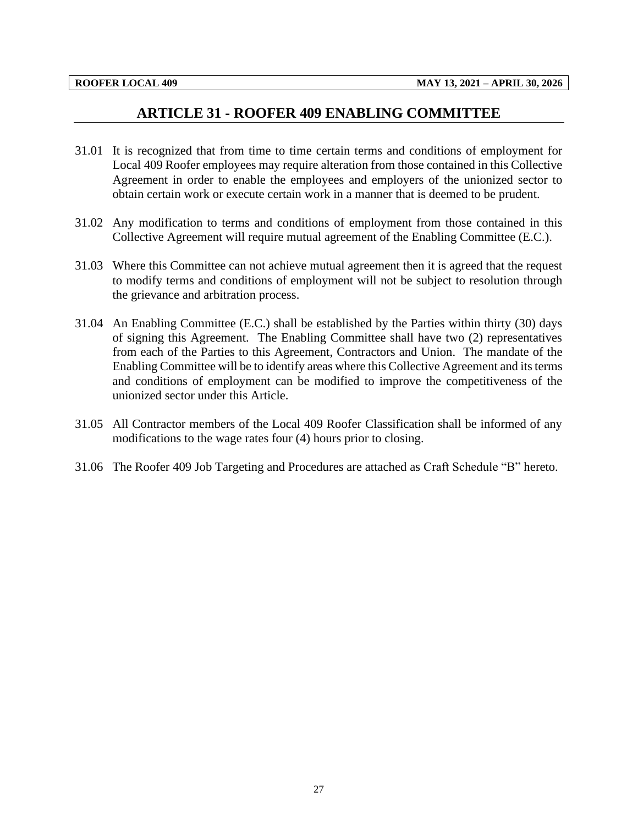## **ARTICLE 31 - ROOFER 409 ENABLING COMMITTEE**

- <span id="page-29-0"></span>31.01 It is recognized that from time to time certain terms and conditions of employment for Local 409 Roofer employees may require alteration from those contained in this Collective Agreement in order to enable the employees and employers of the unionized sector to obtain certain work or execute certain work in a manner that is deemed to be prudent.
- 31.02 Any modification to terms and conditions of employment from those contained in this Collective Agreement will require mutual agreement of the Enabling Committee (E.C.).
- 31.03 Where this Committee can not achieve mutual agreement then it is agreed that the request to modify terms and conditions of employment will not be subject to resolution through the grievance and arbitration process.
- 31.04 An Enabling Committee (E.C.) shall be established by the Parties within thirty (30) days of signing this Agreement. The Enabling Committee shall have two (2) representatives from each of the Parties to this Agreement, Contractors and Union. The mandate of the Enabling Committee will be to identify areas where this Collective Agreement and its terms and conditions of employment can be modified to improve the competitiveness of the unionized sector under this Article.
- 31.05 All Contractor members of the Local 409 Roofer Classification shall be informed of any modifications to the wage rates four (4) hours prior to closing.
- 31.06 The Roofer 409 Job Targeting and Procedures are attached as Craft Schedule "B" hereto.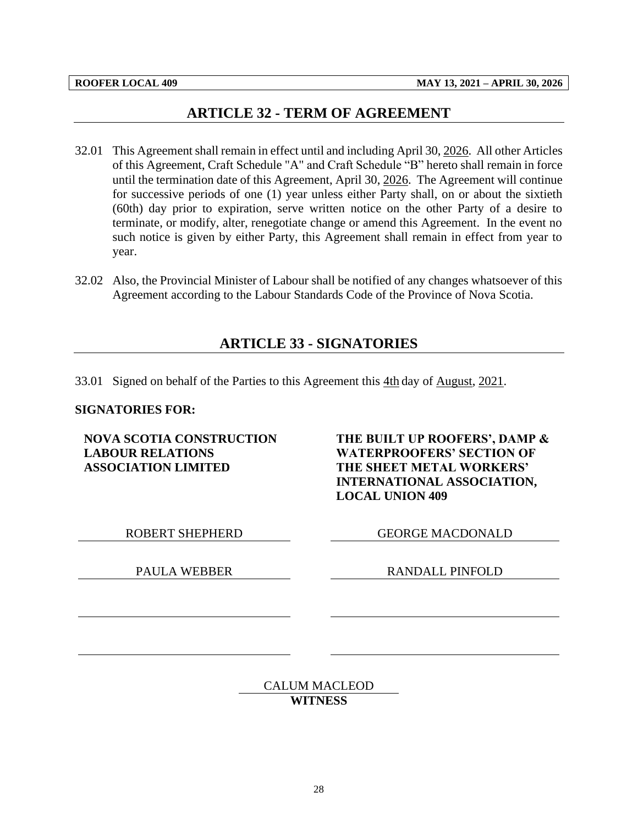## **ARTICLE 32 - TERM OF AGREEMENT**

- <span id="page-30-0"></span>32.01 This Agreement shall remain in effect until and including April 30, 2026. All other Articles of this Agreement, Craft Schedule "A" and Craft Schedule "B" hereto shall remain in force until the termination date of this Agreement, April 30, 2026. The Agreement will continue for successive periods of one (1) year unless either Party shall, on or about the sixtieth (60th) day prior to expiration, serve written notice on the other Party of a desire to terminate, or modify, alter, renegotiate change or amend this Agreement. In the event no such notice is given by either Party, this Agreement shall remain in effect from year to year.
- <span id="page-30-1"></span>32.02 Also, the Provincial Minister of Labour shall be notified of any changes whatsoever of this Agreement according to the Labour Standards Code of the Province of Nova Scotia.

## **ARTICLE 33 - SIGNATORIES**

33.01 Signed on behalf of the Parties to this Agreement this 4th day of August, 2021.

#### **SIGNATORIES FOR:**

**NOVA SCOTIA CONSTRUCTION LABOUR RELATIONS ASSOCIATION LIMITED**

**THE BUILT UP ROOFERS', DAMP & WATERPROOFERS' SECTION OF THE SHEET METAL WORKERS' INTERNATIONAL ASSOCIATION, LOCAL UNION 409**

ROBERT SHEPHERD GEORGE MACDONALD

PAULA WEBBER RANDALL PINFOLD

CALUM MACLEOD **WITNESS**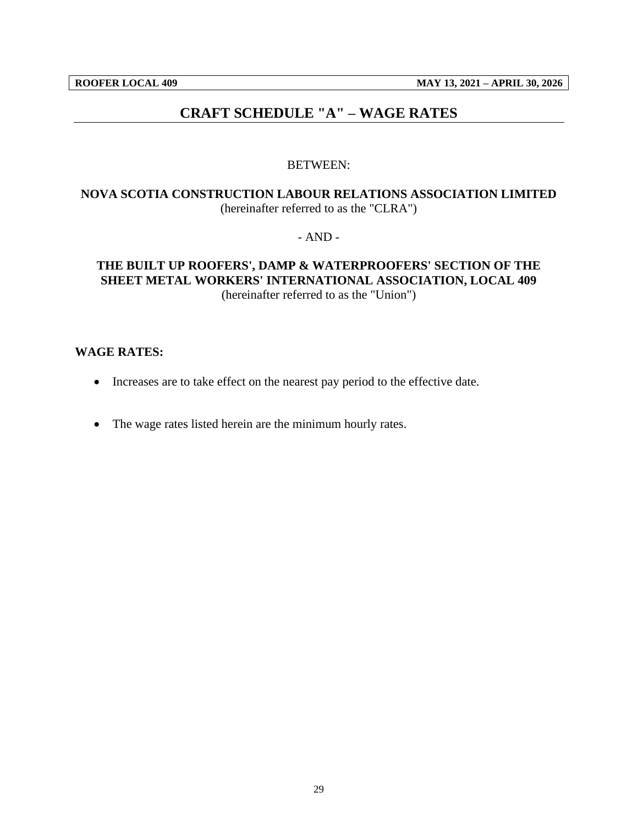## **CRAFT SCHEDULE "A" – WAGE RATES**

#### BETWEEN:

## <span id="page-31-0"></span>**NOVA SCOTIA CONSTRUCTION LABOUR RELATIONS ASSOCIATION LIMITED** (hereinafter referred to as the "CLRA")

- AND -

## **THE BUILT UP ROOFERS', DAMP & WATERPROOFERS' SECTION OF THE SHEET METAL WORKERS' INTERNATIONAL ASSOCIATION, LOCAL 409** (hereinafter referred to as the "Union")

#### **WAGE RATES:**

- Increases are to take effect on the nearest pay period to the effective date.
- The wage rates listed herein are the minimum hourly rates.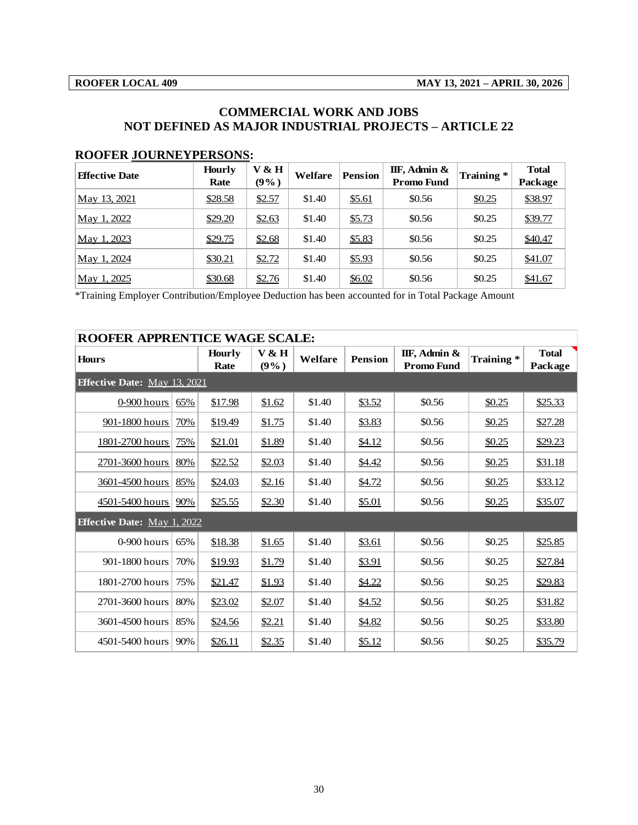## **COMMERCIAL WORK AND JOBS NOT DEFINED AS MAJOR INDUSTRIAL PROJECTS – ARTICLE 22**

#### **ROOFER JOURNEYPERSONS:**

| <b>Effective Date</b> | <b>Hourly</b><br>Rate | V & H<br>$(9\%)$ | Welfare | <b>Pension</b> | IIF, Admin &<br><b>Promo Fund</b> | Training * | <b>Total</b><br>Package |
|-----------------------|-----------------------|------------------|---------|----------------|-----------------------------------|------------|-------------------------|
| May 13, 2021          | \$28.58               | \$2.57           | \$1.40  | \$5.61         | \$0.56                            | \$0.25     | \$38.97                 |
| May 1, 2022           | \$29.20               | \$2.63           | \$1.40  | \$5.73         | \$0.56                            | \$0.25     | \$39.77                 |
| May 1, 2023           | \$29.75               | \$2.68           | \$1.40  | \$5.83         | \$0.56                            | \$0.25     | \$40.47                 |
| May 1, 2024           | \$30.21               | \$2.72           | \$1.40  | \$5.93         | \$0.56                            | \$0.25     | \$41.07                 |
| May 1, 2025           | \$30.68               | \$2.76           | \$1.40  | \$6.02         | \$0.56                            | \$0.25     | \$41.67                 |

| <b>ROOFER APPRENTICE WAGE SCALE:</b> |     |                              |               |         |                |                                      |           |                         |  |
|--------------------------------------|-----|------------------------------|---------------|---------|----------------|--------------------------------------|-----------|-------------------------|--|
| <b>Hours</b>                         |     | <b>Hourly</b><br><b>Rate</b> | V & H<br>(9%) | Welfare | <b>Pension</b> | IIF, Admin $\&$<br><b>Promo Fund</b> | Training* | <b>Total</b><br>Package |  |
| <b>Effective Date:</b> May 13, 2021  |     |                              |               |         |                |                                      |           |                         |  |
| $0-900$ hours                        | 65% | \$17.98                      | \$1.62        | \$1.40  | \$3.52         | \$0.56                               | \$0.25    | \$25.33                 |  |
| 901-1800 hours                       | 70% | \$19.49                      | \$1.75        | \$1.40  | \$3.83         | \$0.56                               | \$0.25    | \$27.28                 |  |
| 1801-2700 hours                      | 75% | \$21.01                      | \$1.89        | \$1.40  | \$4.12         | \$0.56                               | \$0.25    | \$29.23                 |  |
| 2701-3600 hours                      | 80% | \$22.52                      | \$2.03        | \$1.40  | \$4.42         | \$0.56                               | \$0.25    | \$31.18                 |  |
| 3601-4500 hours                      | 85% | \$24.03                      | \$2.16        | \$1.40  | \$4.72         | \$0.56                               | \$0.25    | \$33.12                 |  |
| 4501-5400 hours                      | 90% | \$25.55                      | \$2.30        | \$1.40  | \$5.01         | \$0.56                               | \$0.25    | \$35.07                 |  |
| <b>Effective Date:</b> May 1, 2022   |     |                              |               |         |                |                                      |           |                         |  |
| $0-900$ hours                        | 65% | \$18.38                      | \$1.65        | \$1.40  | \$3.61         | \$0.56                               | \$0.25    | \$25.85                 |  |
| 901-1800 hours                       | 70% | \$19.93                      | \$1.79        | \$1.40  | \$3.91         | \$0.56                               | \$0.25    | \$27.84                 |  |
| 1801-2700 hours                      | 75% | \$21.47                      | \$1.93        | \$1.40  | \$4.22         | \$0.56                               | \$0.25    | \$29.83                 |  |
| 2701-3600 hours                      | 80% | \$23.02                      | \$2.07        | \$1.40  | \$4.52         | \$0.56                               | \$0.25    | \$31.82                 |  |
| 3601-4500 hours                      | 85% | \$24.56                      | \$2.21        | \$1.40  | \$4.82         | \$0.56                               | \$0.25    | \$33.80                 |  |
| 4501-5400 hours                      | 90% | \$26.11                      | \$2.35        | \$1.40  | \$5.12         | \$0.56                               | \$0.25    | \$35.79                 |  |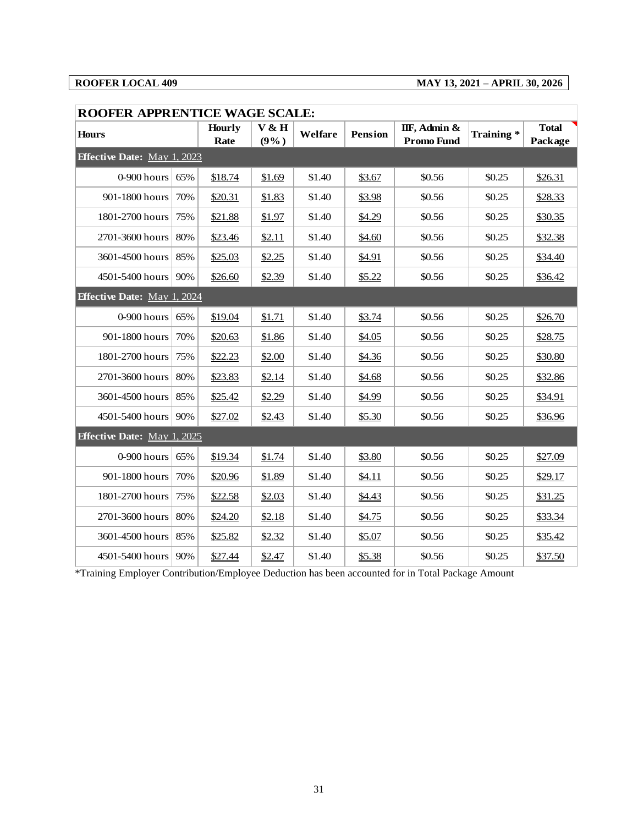## **ROOFER LOCAL 409 MAY 13, 2021 – APRIL 30, 2026**

| <b>ROOFER APPRENTICE WAGE SCALE:</b> |     |                       |               |         |                |                                   |           |                         |
|--------------------------------------|-----|-----------------------|---------------|---------|----------------|-----------------------------------|-----------|-------------------------|
| <b>Hours</b>                         |     | <b>Hourly</b><br>Rate | V & H<br>(9%) | Welfare | <b>Pension</b> | IIF, Admin &<br><b>Promo Fund</b> | Training* | <b>Total</b><br>Package |
| <b>Effective Date: May 1, 2023</b>   |     |                       |               |         |                |                                   |           |                         |
| 0-900 hours                          | 65% | \$18.74               | \$1.69        | \$1.40  | \$3.67         | \$0.56                            | \$0.25    | \$26.31                 |
| 901-1800 hours                       | 70% | \$20.31               | \$1.83        | \$1.40  | \$3.98         | \$0.56                            | \$0.25    | \$28.33                 |
| 1801-2700 hours                      | 75% | \$21.88               | \$1.97        | \$1.40  | \$4.29         | \$0.56                            | \$0.25    | \$30.35                 |
| 2701-3600 hours                      | 80% | \$23.46               | \$2.11        | \$1.40  | \$4.60         | \$0.56                            | \$0.25    | \$32.38                 |
| 3601-4500 hours                      | 85% | \$25.03               | \$2.25        | \$1.40  | \$4.91         | \$0.56                            | \$0.25    | \$34.40                 |
| 4501-5400 hours                      | 90% | \$26.60               | \$2.39        | \$1.40  | \$5.22         | \$0.56                            | \$0.25    | \$36.42                 |
| <b>Effective Date: May 1, 2024</b>   |     |                       |               |         |                |                                   |           |                         |
| 0-900 hours                          | 65% | \$19.04               | \$1.71        | \$1.40  | \$3.74         | \$0.56                            | \$0.25    | \$26.70                 |
| 901-1800 hours                       | 70% | \$20.63               | \$1.86        | \$1.40  | \$4.05         | \$0.56                            | \$0.25    | \$28.75                 |
| 1801-2700 hours                      | 75% | \$22.23               | \$2.00        | \$1.40  | \$4.36         | \$0.56                            | \$0.25    | \$30.80                 |
| 2701-3600 hours                      | 80% | \$23.83               | \$2.14        | \$1.40  | \$4.68         | \$0.56                            | \$0.25    | \$32.86                 |
| 3601-4500 hours                      | 85% | \$25.42               | \$2.29        | \$1.40  | \$4.99         | \$0.56                            | \$0.25    | \$34.91                 |
| 4501-5400 hours                      | 90% | \$27.02               | \$2.43        | \$1.40  | \$5.30         | \$0.56                            | \$0.25    | \$36.96                 |
| Effective Date: May 1, 2025          |     |                       |               |         |                |                                   |           |                         |
| 0-900 hours                          | 65% | \$19.34               | \$1.74        | \$1.40  | \$3.80         | \$0.56                            | \$0.25    | \$27.09                 |
| 901-1800 hours                       | 70% | \$20.96               | \$1.89        | \$1.40  | \$4.11         | \$0.56                            | \$0.25    | \$29.17                 |
| 1801-2700 hours                      | 75% | \$22.58               | \$2.03        | \$1.40  | \$4.43         | \$0.56                            | \$0.25    | \$31.25                 |
| 2701-3600 hours                      | 80% | \$24.20               | \$2.18        | \$1.40  | \$4.75         | \$0.56                            | \$0.25    | \$33.34                 |
| 3601-4500 hours                      | 85% | \$25.82               | \$2.32        | \$1.40  | \$5.07         | \$0.56                            | \$0.25    | \$35.42                 |
| 4501-5400 hours                      | 90% | \$27.44               | \$2.47        | \$1.40  | \$5.38         | \$0.56                            | \$0.25    | \$37.50                 |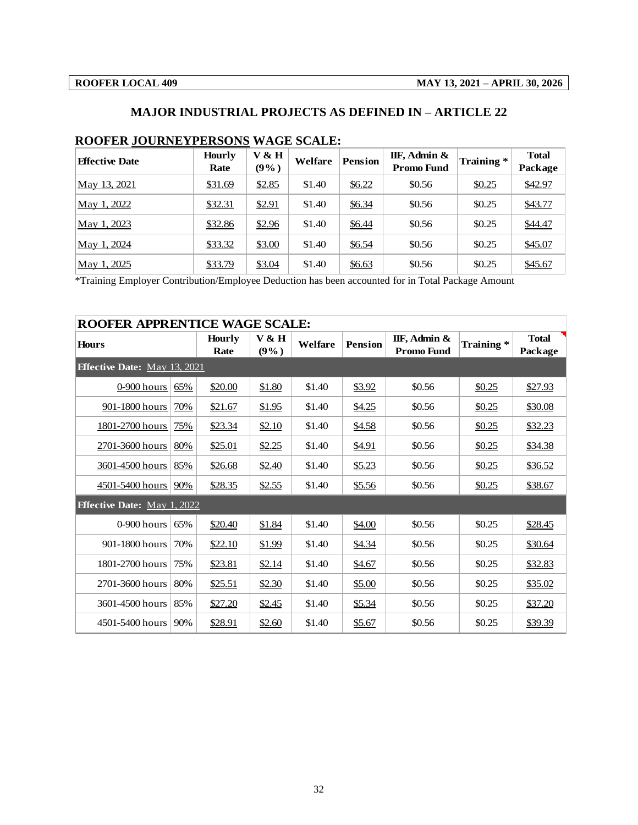## **MAJOR INDUSTRIAL PROJECTS AS DEFINED IN – ARTICLE 22**

| <b>Effective Date</b> | <b>Hourly</b> | $V$ & H | Welfare | <b>Pension</b> | IIF, Admin &      | Training * | <b>Total</b> |
|-----------------------|---------------|---------|---------|----------------|-------------------|------------|--------------|
|                       | Rate          | $(9\%)$ |         |                | <b>Promo Fund</b> |            | Package      |
| May 13, 2021          | \$31.69       | \$2.85  | \$1.40  | \$6.22         | \$0.56            | \$0.25     | \$42.97      |
| May 1, 2022           | \$32.31       | \$2.91  | \$1.40  | \$6.34         | \$0.56            | \$0.25     | \$43.77      |
| May 1, 2023           | \$32.86       | \$2.96  | \$1.40  | \$6.44         | \$0.56            | \$0.25     | \$44.47      |
| May 1, 2024           | \$33.32       | \$3.00  | \$1.40  | \$6.54         | \$0.56            | \$0.25     | \$45.07      |
| May 1, 2025           | \$33.79       | \$3.04  | \$1.40  | \$6.63         | \$0.56            | \$0.25     | \$45.67      |

## **ROOFER JOURNEYPERSONS WAGE SCALE:**

| <b>ROOFER APPRENTICE WAGE SCALE:</b> |     |                       |                    |         |                |                                   |           |                         |  |  |
|--------------------------------------|-----|-----------------------|--------------------|---------|----------------|-----------------------------------|-----------|-------------------------|--|--|
| Hours                                |     | <b>Hourly</b><br>Rate | $V$ & H<br>$(9\%)$ | Welfare | <b>Pension</b> | IIF, Admin &<br><b>Promo Fund</b> | Training* | <b>Total</b><br>Package |  |  |
| <b>Effective Date:</b> May 13, 2021  |     |                       |                    |         |                |                                   |           |                         |  |  |
| 0-900 hours                          | 65% | \$20.00               | \$1.80             | \$1.40  | \$3.92         | \$0.56                            | \$0.25    | \$27.93                 |  |  |
| 901-1800 hours                       | 70% | \$21.67               | \$1.95             | \$1.40  | \$4.25         | \$0.56                            | \$0.25    | \$30.08                 |  |  |
| 1801-2700 hours                      | 75% | \$23.34               | \$2.10             | \$1.40  | \$4.58         | \$0.56                            | \$0.25    | \$32.23                 |  |  |
| 2701-3600 hours                      | 80% | \$25.01               | \$2.25             | \$1.40  | \$4.91         | \$0.56                            | \$0.25    | \$34.38                 |  |  |
| 3601-4500 hours                      | 85% | \$26.68               | \$2.40             | \$1.40  | \$5.23         | \$0.56                            | \$0.25    | \$36.52                 |  |  |
| 4501-5400 hours                      | 90% | \$28.35               | \$2.55             | \$1.40  | \$5.56         | \$0.56                            | \$0.25    | \$38.67                 |  |  |
| <b>Effective Date:</b> May 1, 2022   |     |                       |                    |         |                |                                   |           |                         |  |  |
| $0-900$ hours                        | 65% | \$20.40               | \$1.84             | \$1.40  | \$4.00         | \$0.56                            | \$0.25    | \$28.45                 |  |  |
| 901-1800 hours                       | 70% | \$22.10               | \$1.99             | \$1.40  | \$4.34         | \$0.56                            | \$0.25    | \$30.64                 |  |  |
| 1801-2700 hours                      | 75% | \$23.81               | \$2.14             | \$1.40  | \$4.67         | \$0.56                            | \$0.25    | \$32.83                 |  |  |
| 2701-3600 hours                      | 80% | \$25.51               | \$2.30             | \$1.40  | \$5.00         | \$0.56                            | \$0.25    | \$35.02                 |  |  |
| 3601-4500 hours                      | 85% | \$27.20               | \$2.45             | \$1.40  | \$5.34         | \$0.56                            | \$0.25    | \$37.20                 |  |  |
| 4501-5400 hours                      | 90% | \$28.91               | \$2.60             | \$1.40  | \$5.67         | \$0.56                            | \$0.25    | \$39.39                 |  |  |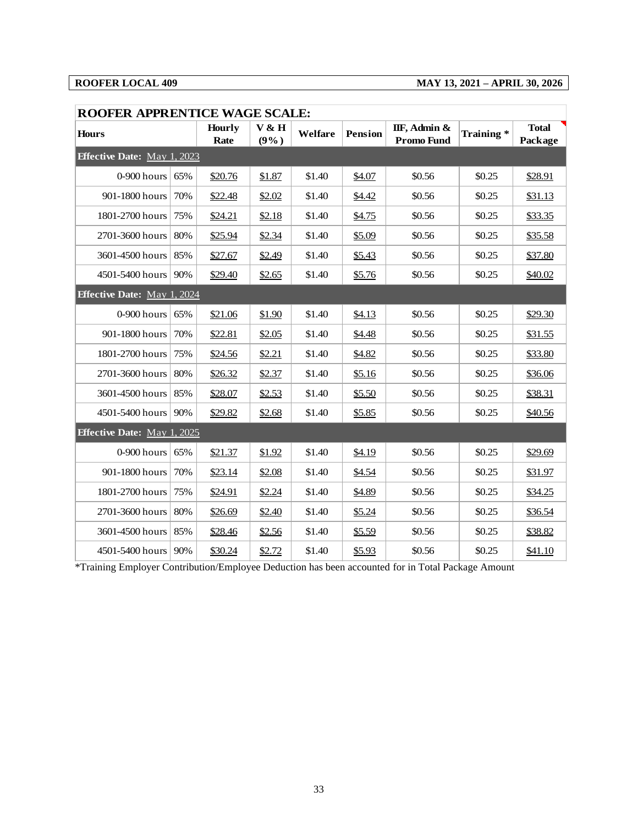## **ROOFER LOCAL 409 MAY 13, 2021 – APRIL 30, 2026**

| <b>ROOFER APPRENTICE WAGE SCALE:</b> |     |                       |               |         |                |                                   |           |                         |
|--------------------------------------|-----|-----------------------|---------------|---------|----------------|-----------------------------------|-----------|-------------------------|
| <b>Hours</b>                         |     | <b>Hourly</b><br>Rate | V & H<br>(9%) | Welfare | <b>Pension</b> | IIF, Admin &<br><b>Promo Fund</b> | Training* | <b>Total</b><br>Package |
| <b>Effective Date:</b> May 1, 2023   |     |                       |               |         |                |                                   |           |                         |
| 0-900 hours                          | 65% | \$20.76               | \$1.87        | \$1.40  | \$4.07         | \$0.56                            | \$0.25    | \$28.91                 |
| 901-1800 hours                       | 70% | \$22.48               | \$2.02        | \$1.40  | \$4.42         | \$0.56                            | \$0.25    | \$31.13                 |
| 1801-2700 hours                      | 75% | \$24.21               | \$2.18        | \$1.40  | \$4.75         | \$0.56                            | \$0.25    | \$33.35                 |
| 2701-3600 hours                      | 80% | \$25.94               | \$2.34        | \$1.40  | \$5.09         | \$0.56                            | \$0.25    | \$35.58                 |
| 3601-4500 hours                      | 85% | \$27.67               | \$2.49        | \$1.40  | \$5.43         | \$0.56                            | \$0.25    | \$37.80                 |
| 4501-5400 hours                      | 90% | \$29.40               | \$2.65        | \$1.40  | \$5.76         | \$0.56                            | \$0.25    | \$40.02                 |
| <b>Effective Date:</b> May 1, 2024   |     |                       |               |         |                |                                   |           |                         |
| 0-900 hours                          | 65% | \$21.06               | \$1.90        | \$1.40  | \$4.13         | \$0.56                            | \$0.25    | \$29.30                 |
| 901-1800 hours                       | 70% | \$22.81               | \$2.05        | \$1.40  | \$4.48         | \$0.56                            | \$0.25    | \$31.55                 |
| 1801-2700 hours                      | 75% | \$24.56               | \$2.21        | \$1.40  | \$4.82         | \$0.56                            | \$0.25    | \$33.80                 |
| 2701-3600 hours                      | 80% | \$26.32               | \$2.37        | \$1.40  | \$5.16         | \$0.56                            | \$0.25    | \$36.06                 |
| 3601-4500 hours                      | 85% | \$28.07               | \$2.53        | \$1.40  | \$5.50         | \$0.56                            | \$0.25    | \$38.31                 |
| 4501-5400 hours                      | 90% | \$29.82               | \$2.68        | \$1.40  | \$5.85         | \$0.56                            | \$0.25    | \$40.56                 |
| <b>Effective Date: May 1, 2025</b>   |     |                       |               |         |                |                                   |           |                         |
| 0-900 hours                          | 65% | \$21.37               | \$1.92        | \$1.40  | \$4.19         | \$0.56                            | \$0.25    | \$29.69                 |
| 901-1800 hours                       | 70% | \$23.14               | \$2.08        | \$1.40  | \$4.54         | \$0.56                            | \$0.25    | \$31.97                 |
| 1801-2700 hours                      | 75% | \$24.91               | \$2.24        | \$1.40  | \$4.89         | \$0.56                            | \$0.25    | \$34.25                 |
| 2701-3600 hours                      | 80% | \$26.69               | \$2.40        | \$1.40  | \$5.24         | \$0.56                            | \$0.25    | \$36.54                 |
| 3601-4500 hours                      | 85% | \$28.46               | \$2.56        | \$1.40  | \$5.59         | \$0.56                            | \$0.25    | \$38.82                 |
| 4501-5400 hours                      | 90% | \$30.24               | \$2.72        | \$1.40  | \$5.93         | \$0.56                            | \$0.25    | \$41.10                 |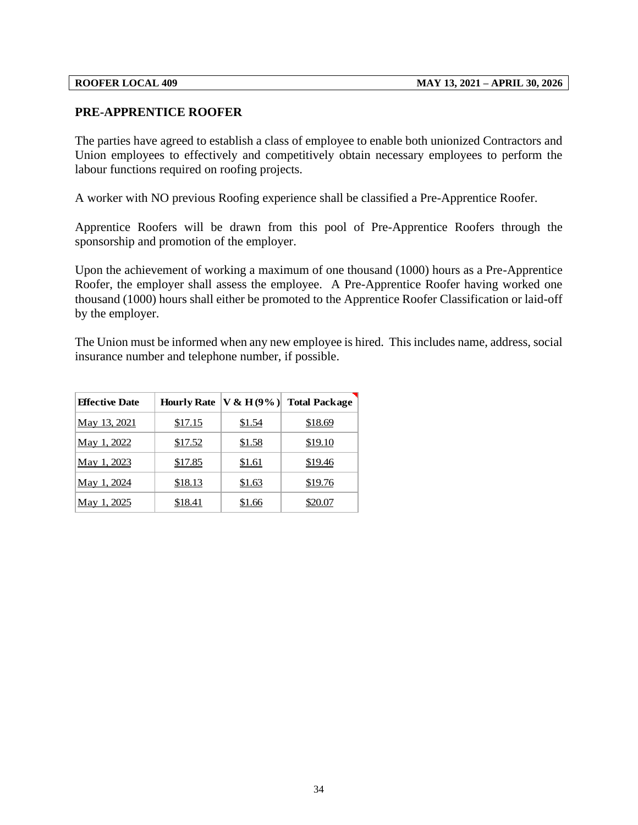## **PRE-APPRENTICE ROOFER**

The parties have agreed to establish a class of employee to enable both unionized Contractors and Union employees to effectively and competitively obtain necessary employees to perform the labour functions required on roofing projects.

A worker with NO previous Roofing experience shall be classified a Pre-Apprentice Roofer.

Apprentice Roofers will be drawn from this pool of Pre-Apprentice Roofers through the sponsorship and promotion of the employer.

Upon the achievement of working a maximum of one thousand (1000) hours as a Pre-Apprentice Roofer, the employer shall assess the employee. A Pre-Apprentice Roofer having worked one thousand (1000) hours shall either be promoted to the Apprentice Roofer Classification or laid-off by the employer.

The Union must be informed when any new employee is hired. This includes name, address, social insurance number and telephone number, if possible.

| <b>Effective Date</b> |         | Hourly Rate $ V & H(9\%) $ | <b>Total Package</b> |
|-----------------------|---------|----------------------------|----------------------|
| May 13, 2021          | \$17.15 | \$1.54                     | \$18.69              |
| May 1, 2022           | \$17.52 | \$1.58                     | \$19.10              |
| May 1, 2023           | \$17.85 | \$1.61                     | \$19.46              |
| May 1, 2024           | \$18.13 | \$1.63                     | \$19.76              |
| May 1, 2025           | \$18.41 | \$1.66                     | \$20.07              |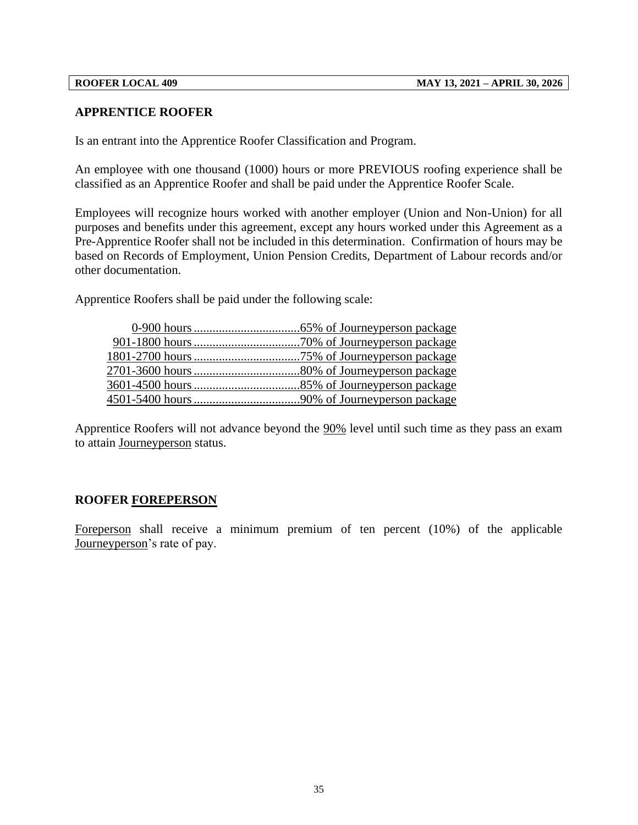## **APPRENTICE ROOFER**

Is an entrant into the Apprentice Roofer Classification and Program.

An employee with one thousand (1000) hours or more PREVIOUS roofing experience shall be classified as an Apprentice Roofer and shall be paid under the Apprentice Roofer Scale.

Employees will recognize hours worked with another employer (Union and Non-Union) for all purposes and benefits under this agreement, except any hours worked under this Agreement as a Pre-Apprentice Roofer shall not be included in this determination. Confirmation of hours may be based on Records of Employment, Union Pension Credits, Department of Labour records and/or other documentation.

Apprentice Roofers shall be paid under the following scale:

Apprentice Roofers will not advance beyond the 90% level until such time as they pass an exam to attain Journeyperson status.

## **ROOFER FOREPERSON**

Foreperson shall receive a minimum premium of ten percent (10%) of the applicable Journeyperson's rate of pay.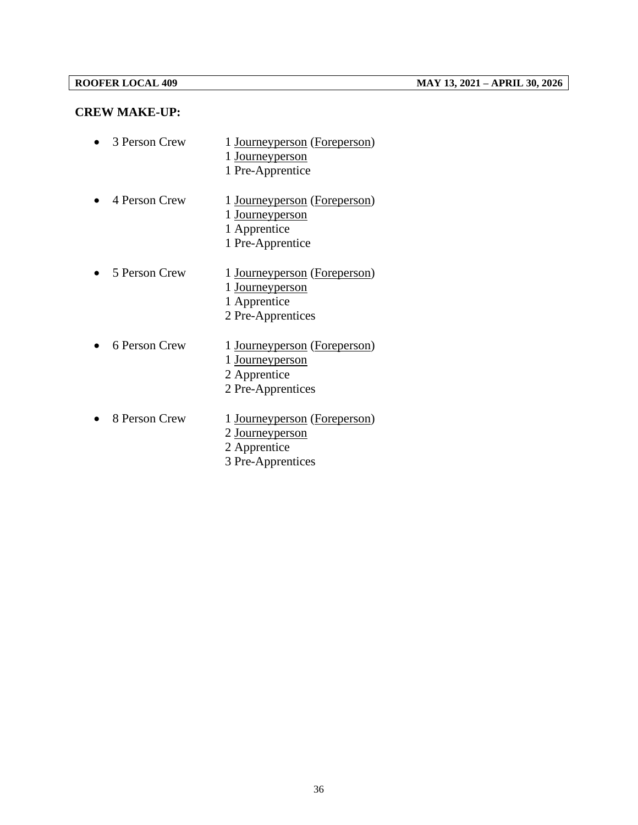## **CREW MAKE-UP:**

| 3 Person Crew | 1 Journeyperson (Foreperson)<br>1 Journeyperson<br>1 Pre-Apprentice                         |
|---------------|---------------------------------------------------------------------------------------------|
| 4 Person Crew | 1 Journeyperson (Foreperson)<br>1 Journeyperson<br>1 Apprentice<br>1 Pre-Apprentice         |
| 5 Person Crew | 1 Journeyperson (Foreperson)<br>1 Journeyperson<br>1 Apprentice<br>2 Pre-Apprentices        |
| 6 Person Crew | 1 Journeyperson (Foreperson)<br>1 <u>Journeyperson</u><br>2 Apprentice<br>2 Pre-Apprentices |
| 8 Person Crew | 1 Journeyperson (Foreperson)<br>2 Journeyperson<br>2 Apprentice<br>3 Pre-Apprentices        |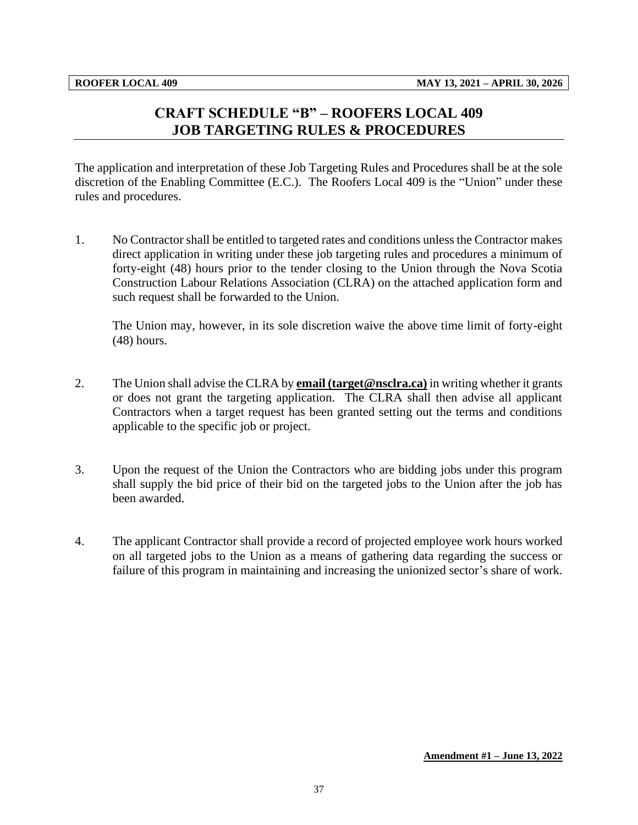# **CRAFT SCHEDULE "B" – ROOFERS LOCAL 409 JOB TARGETING RULES & PROCEDURES**

<span id="page-39-0"></span>The application and interpretation of these Job Targeting Rules and Procedures shall be at the sole discretion of the Enabling Committee (E.C.). The Roofers Local 409 is the "Union" under these rules and procedures.

1. No Contractor shall be entitled to targeted rates and conditions unless the Contractor makes direct application in writing under these job targeting rules and procedures a minimum of forty-eight (48) hours prior to the tender closing to the Union through the Nova Scotia Construction Labour Relations Association (CLRA) on the attached application form and such request shall be forwarded to the Union.

The Union may, however, in its sole discretion waive the above time limit of forty-eight (48) hours.

- 2. The Union shall advise the CLRA by **email (target@nsclra.ca)** in writing whether it grants or does not grant the targeting application. The CLRA shall then advise all applicant Contractors when a target request has been granted setting out the terms and conditions applicable to the specific job or project.
- 3. Upon the request of the Union the Contractors who are bidding jobs under this program shall supply the bid price of their bid on the targeted jobs to the Union after the job has been awarded.
- 4. The applicant Contractor shall provide a record of projected employee work hours worked on all targeted jobs to the Union as a means of gathering data regarding the success or failure of this program in maintaining and increasing the unionized sector's share of work.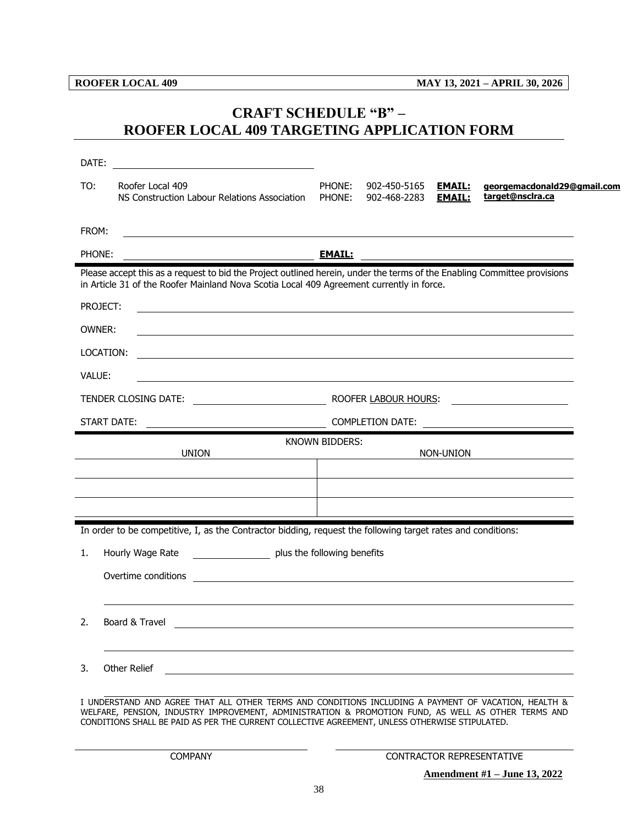# <span id="page-40-0"></span>**CRAFT SCHEDULE "B" – ROOFER LOCAL 409 TARGETING APPLICATION FORM**

| DATE:    | <u> 1989 - Johann Barbara, martin amerikan basar da</u>                                                                                                                                                                                                                                                       |                  |                              |                                |                                                 |
|----------|---------------------------------------------------------------------------------------------------------------------------------------------------------------------------------------------------------------------------------------------------------------------------------------------------------------|------------------|------------------------------|--------------------------------|-------------------------------------------------|
| TO:      | Roofer Local 409<br>NS Construction Labour Relations Association                                                                                                                                                                                                                                              | PHONE:<br>PHONE: | 902-450-5165<br>902-468-2283 | <b>EMAIL:</b><br><b>EMAIL:</b> | georgemacdonald29@gmail.com<br>target@nsclra.ca |
| FROM:    |                                                                                                                                                                                                                                                                                                               |                  |                              |                                |                                                 |
| PHONE:   |                                                                                                                                                                                                                                                                                                               |                  |                              |                                |                                                 |
|          | Please accept this as a request to bid the Project outlined herein, under the terms of the Enabling Committee provisions<br>in Article 31 of the Roofer Mainland Nova Scotia Local 409 Agreement currently in force.                                                                                          |                  |                              |                                |                                                 |
| PROJECT: |                                                                                                                                                                                                                                                                                                               |                  |                              |                                |                                                 |
| OWNER:   | ,我们也不会有一个人的人,我们也不会有一个人的人,我们也不会有一个人的人。""我们,我们也不会有一个人的人,我们也不会有一个人的人,我们也不会有一个人的人,我们                                                                                                                                                                                                                              |                  |                              |                                |                                                 |
|          | LOCATION:<br><u> 1989 - Johann Stoff, deutscher Stoffen und der Stoffen und der Stoffen und der Stoffen und der Stoffen und der</u>                                                                                                                                                                           |                  |                              |                                |                                                 |
| VALUE:   | <u> 1989 - Johann Stoff, amerikansk politiker (d. 1989)</u>                                                                                                                                                                                                                                                   |                  |                              |                                |                                                 |
|          |                                                                                                                                                                                                                                                                                                               |                  |                              |                                |                                                 |
|          | <b>START DATE:</b><br>COMPLETION DATE:                                                                                                                                                                                                                                                                        |                  |                              |                                |                                                 |
|          | <b>UNION</b>                                                                                                                                                                                                                                                                                                  | KNOWN BIDDERS:   |                              | NON-UNION                      |                                                 |
|          |                                                                                                                                                                                                                                                                                                               |                  |                              |                                |                                                 |
|          |                                                                                                                                                                                                                                                                                                               |                  |                              |                                |                                                 |
|          |                                                                                                                                                                                                                                                                                                               |                  |                              |                                |                                                 |
|          | In order to be competitive, I, as the Contractor bidding, request the following target rates and conditions:                                                                                                                                                                                                  |                  |                              |                                |                                                 |
| 1.       | Hourly Wage Rate _____________________ plus the following benefits                                                                                                                                                                                                                                            |                  |                              |                                |                                                 |
|          | Overtime conditions <u>examens and the conditions of the conditions of the conditions of the conditions of the conditions of the conditions of the conditions of the conditions of the conditions of the conditions of the condi</u>                                                                          |                  |                              |                                |                                                 |
|          |                                                                                                                                                                                                                                                                                                               |                  |                              |                                |                                                 |
| 2.       | Board & Travel                                                                                                                                                                                                                                                                                                |                  |                              |                                |                                                 |
|          |                                                                                                                                                                                                                                                                                                               |                  |                              |                                |                                                 |
| 3.       | Other Relief                                                                                                                                                                                                                                                                                                  |                  |                              |                                |                                                 |
|          | I UNDERSTAND AND AGREE THAT ALL OTHER TERMS AND CONDITIONS INCLUDING A PAYMENT OF VACATION, HEALTH &<br>WELFARE, PENSION, INDUSTRY IMPROVEMENT, ADMINISTRATION & PROMOTION FUND, AS WELL AS OTHER TERMS AND<br>CONDITIONS SHALL BE PAID AS PER THE CURRENT COLLECTIVE AGREEMENT, UNLESS OTHERWISE STIPULATED. |                  |                              |                                |                                                 |
|          | <b>COMPANY</b>                                                                                                                                                                                                                                                                                                |                  |                              |                                | CONTRACTOR REPRESENTATIVE                       |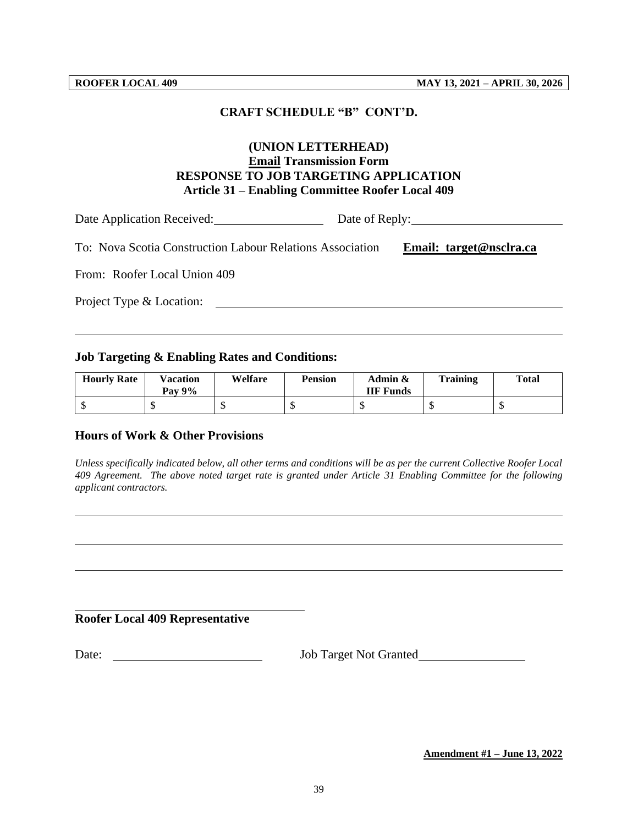#### **CRAFT SCHEDULE "B" CONT'D.**

## **(UNION LETTERHEAD) Email Transmission Form RESPONSE TO JOB TARGETING APPLICATION Article 31 – Enabling Committee Roofer Local 409**

Date Application Received: Date of Reply:

To: Nova Scotia Construction Labour Relations Association **Email: target@nsclra.ca**

From: Roofer Local Union 409

Project Type & Location:

#### **Job Targeting & Enabling Rates and Conditions:**

| <b>Hourly Rate</b> | Vacation<br><b>Pay 9%</b> | Welfare | <b>Pension</b> | Admin &<br><b>IIF Funds</b> | <b>Training</b> | <b>Total</b> |
|--------------------|---------------------------|---------|----------------|-----------------------------|-----------------|--------------|
|                    |                           |         |                |                             |                 |              |

### **Hours of Work & Other Provisions**

*Unless specifically indicated below, all other terms and conditions will be as per the current Collective Roofer Local 409 Agreement. The above noted target rate is granted under Article 31 Enabling Committee for the following applicant contractors.*

#### **Roofer Local 409 Representative**

Date: <u>Job Target Not Granted</u>

**Amendment #1 – June 13, 2022**